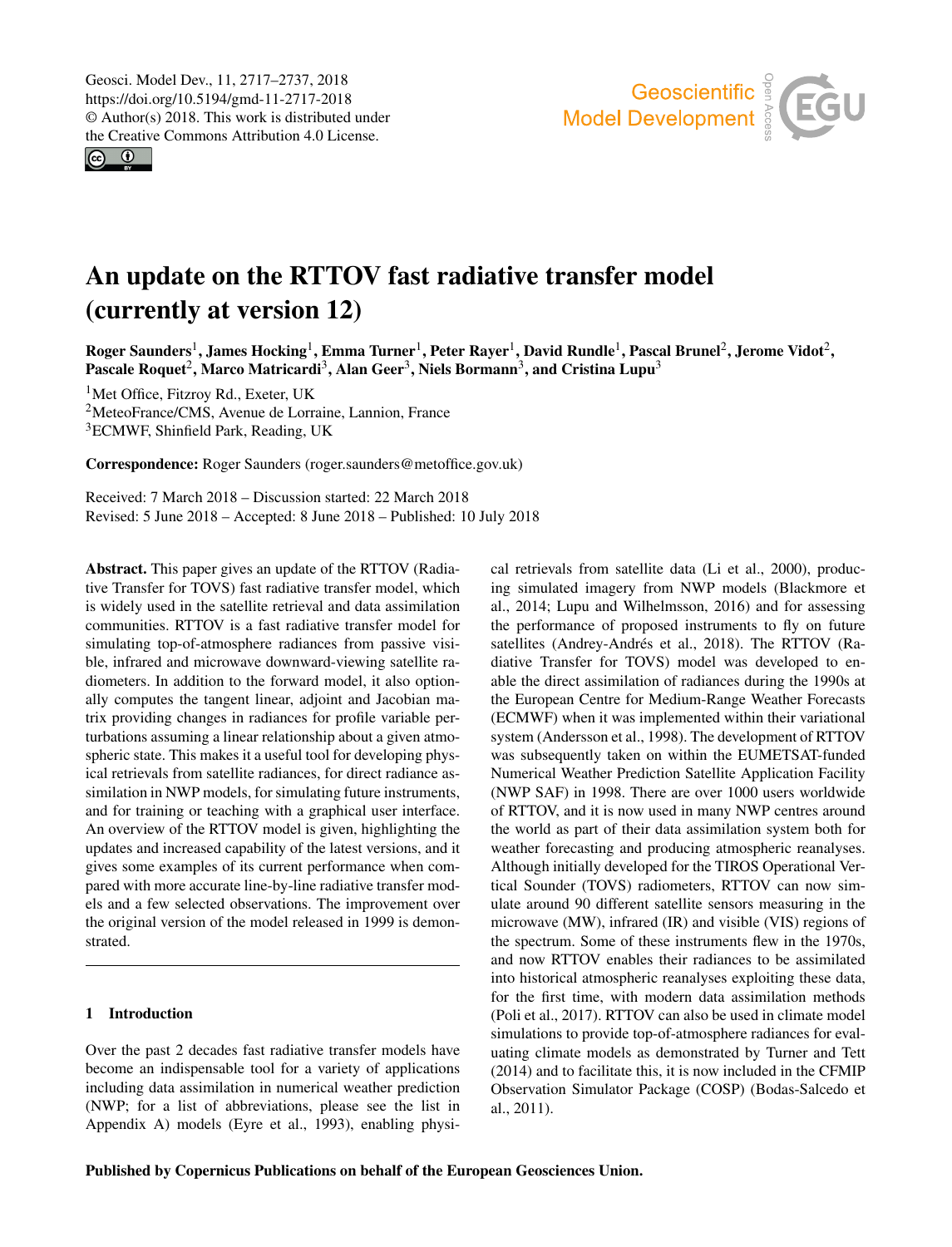<span id="page-0-1"></span> $\circledcirc$ 



# An update on the RTTOV fast radiative transfer model (currently at version 12)

 $\rm{Roger\,Saunders}^1,\rm{James\,Hocking}^1,\rm{Emma\,Turner}^1,\rm{Peter\,Rayer}^1,\rm{David\,Rundle}^1,\rm{Pascal\,Brunel}^2,\rm{Jerome\,Vidot}^2,\rm{Poisson\,Vodot}^2$  $\rm{Roger\,Saunders}^1,\rm{James\,Hocking}^1,\rm{Emma\,Turner}^1,\rm{Peter\,Rayer}^1,\rm{David\,Rundle}^1,\rm{Pascal\,Brunel}^2,\rm{Jerome\,Vidot}^2,\rm{Poisson\,Vodot}^2$  $\rm{Roger\,Saunders}^1,\rm{James\,Hocking}^1,\rm{Emma\,Turner}^1,\rm{Peter\,Rayer}^1,\rm{David\,Rundle}^1,\rm{Pascal\,Brunel}^2,\rm{Jerome\,Vidot}^2,\rm{Poisson\,Vodot}^2$  $\rm{Roger\,Saunders}^1,\rm{James\,Hocking}^1,\rm{Emma\,Turner}^1,\rm{Peter\,Rayer}^1,\rm{David\,Rundle}^1,\rm{Pascal\,Brunel}^2,\rm{Jerome\,Vidot}^2,\rm{Poisson\,Vodot}^2$  $\rm{Roger\,Saunders}^1,\rm{James\,Hocking}^1,\rm{Emma\,Turner}^1,\rm{Peter\,Rayer}^1,\rm{David\,Rundle}^1,\rm{Pascal\,Brunel}^2,\rm{Jerome\,Vidot}^2,\rm{Poisson\,Vodot}^2$ Pascale Roquet<sup>[2](#page-0-0)</sup>, Marco Matricardi<sup>[3](#page-0-0)</sup>, Alan Geer<sup>3</sup>, Niels Bormann<sup>3</sup>, and Cristina Lupu<sup>3</sup>

<sup>1</sup>Met Office, Fitzroy Rd., Exeter, UK <sup>2</sup>MeteoFrance/CMS, Avenue de Lorraine, Lannion, France <sup>3</sup>ECMWF, Shinfield Park, Reading, UK

Correspondence: Roger Saunders (roger.saunders@metoffice.gov.uk)

Received: 7 March 2018 – Discussion started: 22 March 2018 Revised: 5 June 2018 – Accepted: 8 June 2018 – Published: 10 July 2018

<span id="page-0-0"></span>Abstract. This paper gives an update of the RTTOV (Radiative Transfer for TOVS) fast radiative transfer model, which is widely used in the satellite retrieval and data assimilation communities. RTTOV is a fast radiative transfer model for simulating top-of-atmosphere radiances from passive visible, infrared and microwave downward-viewing satellite radiometers. In addition to the forward model, it also optionally computes the tangent linear, adjoint and Jacobian matrix providing changes in radiances for profile variable perturbations assuming a linear relationship about a given atmospheric state. This makes it a useful tool for developing physical retrievals from satellite radiances, for direct radiance assimilation in NWP models, for simulating future instruments, and for training or teaching with a graphical user interface. An overview of the RTTOV model is given, highlighting the updates and increased capability of the latest versions, and it gives some examples of its current performance when compared with more accurate line-by-line radiative transfer models and a few selected observations. The improvement over the original version of the model released in 1999 is demonstrated.

#### 1 Introduction

Over the past 2 decades fast radiative transfer models have become an indispensable tool for a variety of applications including data assimilation in numerical weather prediction (NWP; for a list of abbreviations, please see the list in Appendix A) models (Eyre et al., 1993), enabling physical retrievals from satellite data (Li et al., 2000), producing simulated imagery from NWP models (Blackmore et al., 2014; Lupu and Wilhelmsson, 2016) and for assessing the performance of proposed instruments to fly on future satellites (Andrey-Andrés et al., 2018). The RTTOV (Radiative Transfer for TOVS) model was developed to enable the direct assimilation of radiances during the 1990s at the European Centre for Medium-Range Weather Forecasts (ECMWF) when it was implemented within their variational system (Andersson et al., 1998). The development of RTTOV was subsequently taken on within the EUMETSAT-funded Numerical Weather Prediction Satellite Application Facility (NWP SAF) in 1998. There are over 1000 users worldwide of RTTOV, and it is now used in many NWP centres around the world as part of their data assimilation system both for weather forecasting and producing atmospheric reanalyses. Although initially developed for the TIROS Operational Vertical Sounder (TOVS) radiometers, RTTOV can now simulate around 90 different satellite sensors measuring in the microwave (MW), infrared (IR) and visible (VIS) regions of the spectrum. Some of these instruments flew in the 1970s, and now RTTOV enables their radiances to be assimilated into historical atmospheric reanalyses exploiting these data, for the first time, with modern data assimilation methods (Poli et al., 2017). RTTOV can also be used in climate model simulations to provide top-of-atmosphere radiances for evaluating climate models as demonstrated by Turner and Tett (2014) and to facilitate this, it is now included in the CFMIP Observation Simulator Package (COSP) (Bodas-Salcedo et al., 2011).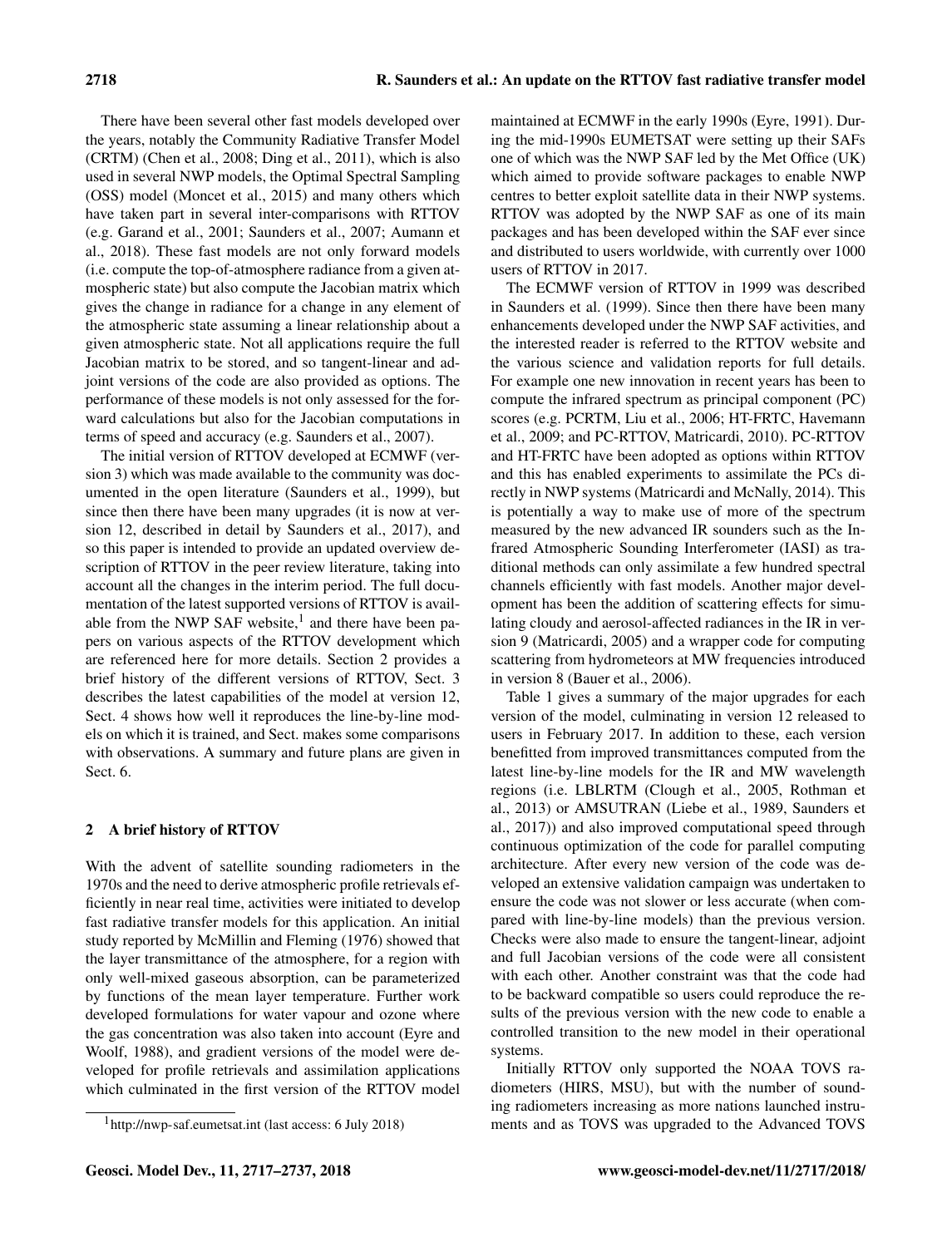There have been several other fast models developed over the years, notably the Community Radiative Transfer Model (CRTM) (Chen et al., 2008; Ding et al., 2011), which is also used in several NWP models, the Optimal Spectral Sampling (OSS) model (Moncet et al., 2015) and many others which have taken part in several inter-comparisons with RTTOV (e.g. Garand et al., 2001; Saunders et al., 2007; Aumann et al., 2018). These fast models are not only forward models (i.e. compute the top-of-atmosphere radiance from a given atmospheric state) but also compute the Jacobian matrix which gives the change in radiance for a change in any element of the atmospheric state assuming a linear relationship about a given atmospheric state. Not all applications require the full Jacobian matrix to be stored, and so tangent-linear and adjoint versions of the code are also provided as options. The performance of these models is not only assessed for the forward calculations but also for the Jacobian computations in terms of speed and accuracy (e.g. Saunders et al., 2007).

The initial version of RTTOV developed at ECMWF (version 3) which was made available to the community was documented in the open literature (Saunders et al., 1999), but since then there have been many upgrades (it is now at version 12, described in detail by Saunders et al., 2017), and so this paper is intended to provide an updated overview description of RTTOV in the peer review literature, taking into account all the changes in the interim period. The full documentation of the latest supported versions of RTTOV is available from the NWP SAF website, $<sup>1</sup>$  and there have been pa-</sup> pers on various aspects of the RTTOV development which are referenced here for more details. Section 2 provides a brief history of the different versions of RTTOV, Sect. 3 describes the latest capabilities of the model at version 12, Sect. 4 shows how well it reproduces the line-by-line models on which it is trained, and Sect. makes some comparisons with observations. A summary and future plans are given in Sect. 6.

#### 2 A brief history of RTTOV

With the advent of satellite sounding radiometers in the 1970s and the need to derive atmospheric profile retrievals efficiently in near real time, activities were initiated to develop fast radiative transfer models for this application. An initial study reported by McMillin and Fleming (1976) showed that the layer transmittance of the atmosphere, for a region with only well-mixed gaseous absorption, can be parameterized by functions of the mean layer temperature. Further work developed formulations for water vapour and ozone where the gas concentration was also taken into account (Eyre and Woolf, 1988), and gradient versions of the model were developed for profile retrievals and assimilation applications which culminated in the first version of the RTTOV model maintained at ECMWF in the early 1990s (Eyre, 1991). During the mid-1990s EUMETSAT were setting up their SAFs one of which was the NWP SAF led by the Met Office (UK) which aimed to provide software packages to enable NWP centres to better exploit satellite data in their NWP systems. RTTOV was adopted by the NWP SAF as one of its main packages and has been developed within the SAF ever since and distributed to users worldwide, with currently over 1000 users of RTTOV in 2017.

The ECMWF version of RTTOV in 1999 was described in Saunders et al. (1999). Since then there have been many enhancements developed under the NWP SAF activities, and the interested reader is referred to the RTTOV website and the various science and validation reports for full details. For example one new innovation in recent years has been to compute the infrared spectrum as principal component (PC) scores (e.g. PCRTM, Liu et al., 2006; HT-FRTC, Havemann et al., 2009; and PC-RTTOV, Matricardi, 2010). PC-RTTOV and HT-FRTC have been adopted as options within RTTOV and this has enabled experiments to assimilate the PCs directly in NWP systems (Matricardi and McNally, 2014). This is potentially a way to make use of more of the spectrum measured by the new advanced IR sounders such as the Infrared Atmospheric Sounding Interferometer (IASI) as traditional methods can only assimilate a few hundred spectral channels efficiently with fast models. Another major development has been the addition of scattering effects for simulating cloudy and aerosol-affected radiances in the IR in version 9 (Matricardi, 2005) and a wrapper code for computing scattering from hydrometeors at MW frequencies introduced in version 8 (Bauer et al., 2006).

Table 1 gives a summary of the major upgrades for each version of the model, culminating in version 12 released to users in February 2017. In addition to these, each version benefitted from improved transmittances computed from the latest line-by-line models for the IR and MW wavelength regions (i.e. LBLRTM (Clough et al., 2005, Rothman et al., 2013) or AMSUTRAN (Liebe et al., 1989, Saunders et al., 2017)) and also improved computational speed through continuous optimization of the code for parallel computing architecture. After every new version of the code was developed an extensive validation campaign was undertaken to ensure the code was not slower or less accurate (when compared with line-by-line models) than the previous version. Checks were also made to ensure the tangent-linear, adjoint and full Jacobian versions of the code were all consistent with each other. Another constraint was that the code had to be backward compatible so users could reproduce the results of the previous version with the new code to enable a controlled transition to the new model in their operational systems.

Initially RTTOV only supported the NOAA TOVS radiometers (HIRS, MSU), but with the number of sounding radiometers increasing as more nations launched instruments and as TOVS was upgraded to the Advanced TOVS

<sup>1</sup><http://nwp-saf.eumetsat.int> (last access: 6 July 2018)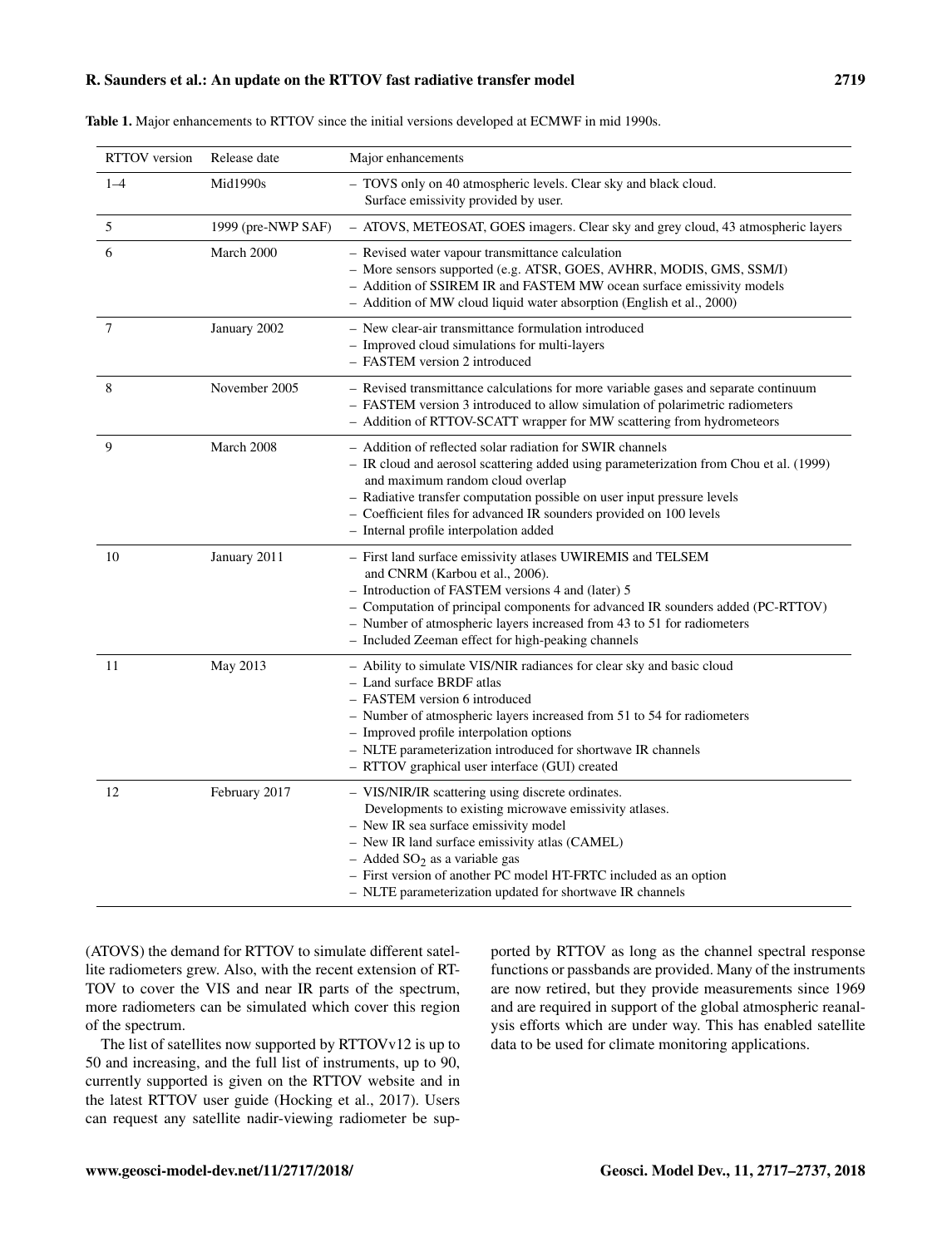| <b>RTTOV</b> version | Release date       | Major enhancements                                                                                                                                                                                                                                                                                                                                                                      |
|----------------------|--------------------|-----------------------------------------------------------------------------------------------------------------------------------------------------------------------------------------------------------------------------------------------------------------------------------------------------------------------------------------------------------------------------------------|
| $1 - 4$              | Mid1990s           | - TOVS only on 40 atmospheric levels. Clear sky and black cloud.<br>Surface emissivity provided by user.                                                                                                                                                                                                                                                                                |
| 5                    | 1999 (pre-NWP SAF) | - ATOVS, METEOSAT, GOES imagers. Clear sky and grey cloud, 43 atmospheric layers                                                                                                                                                                                                                                                                                                        |
| 6                    | March 2000         | - Revised water vapour transmittance calculation<br>- More sensors supported (e.g. ATSR, GOES, AVHRR, MODIS, GMS, SSM/I)<br>- Addition of SSIREM IR and FASTEM MW ocean surface emissivity models<br>- Addition of MW cloud liquid water absorption (English et al., 2000)                                                                                                              |
| 7                    | January 2002       | - New clear-air transmittance formulation introduced<br>- Improved cloud simulations for multi-layers<br>- FASTEM version 2 introduced                                                                                                                                                                                                                                                  |
| 8                    | November 2005      | - Revised transmittance calculations for more variable gases and separate continuum<br>- FASTEM version 3 introduced to allow simulation of polarimetric radiometers<br>- Addition of RTTOV-SCATT wrapper for MW scattering from hydrometeors                                                                                                                                           |
| 9                    | March 2008         | - Addition of reflected solar radiation for SWIR channels<br>- IR cloud and aerosol scattering added using parameterization from Chou et al. (1999)<br>and maximum random cloud overlap<br>- Radiative transfer computation possible on user input pressure levels<br>- Coefficient files for advanced IR sounders provided on 100 levels<br>- Internal profile interpolation added     |
| 10                   | January 2011       | - First land surface emissivity atlases UWIREMIS and TELSEM<br>and CNRM (Karbou et al., 2006).<br>- Introduction of FASTEM versions 4 and (later) 5<br>- Computation of principal components for advanced IR sounders added (PC-RTTOV)<br>- Number of atmospheric layers increased from 43 to 51 for radiometers<br>- Included Zeeman effect for high-peaking channels                  |
| 11                   | May 2013           | - Ability to simulate VIS/NIR radiances for clear sky and basic cloud<br>- Land surface BRDF atlas<br>- FASTEM version 6 introduced<br>- Number of atmospheric layers increased from 51 to 54 for radiometers<br>- Improved profile interpolation options<br>- NLTE parameterization introduced for shortwave IR channels<br>- RTTOV graphical user interface (GUI) created             |
| 12                   | February 2017      | - VIS/NIR/IR scattering using discrete ordinates.<br>Developments to existing microwave emissivity atlases.<br>- New IR sea surface emissivity model<br>- New IR land surface emissivity atlas (CAMEL)<br>$-$ Added SO <sub>2</sub> as a variable gas<br>- First version of another PC model HT-FRTC included as an option<br>- NLTE parameterization updated for shortwave IR channels |

| <b>Table 1.</b> Major enhancements to RTTOV since the initial versions developed at ECMWF in mid 1990s. |  |
|---------------------------------------------------------------------------------------------------------|--|
|---------------------------------------------------------------------------------------------------------|--|

(ATOVS) the demand for RTTOV to simulate different satellite radiometers grew. Also, with the recent extension of RT-TOV to cover the VIS and near IR parts of the spectrum, more radiometers can be simulated which cover this region of the spectrum.

The list of satellites now supported by RTTOVv12 is up to 50 and increasing, and the full list of instruments, up to 90, currently supported is given on the RTTOV website and in the latest RTTOV user guide (Hocking et al., 2017). Users can request any satellite nadir-viewing radiometer be supported by RTTOV as long as the channel spectral response functions or passbands are provided. Many of the instruments are now retired, but they provide measurements since 1969 and are required in support of the global atmospheric reanalysis efforts which are under way. This has enabled satellite data to be used for climate monitoring applications.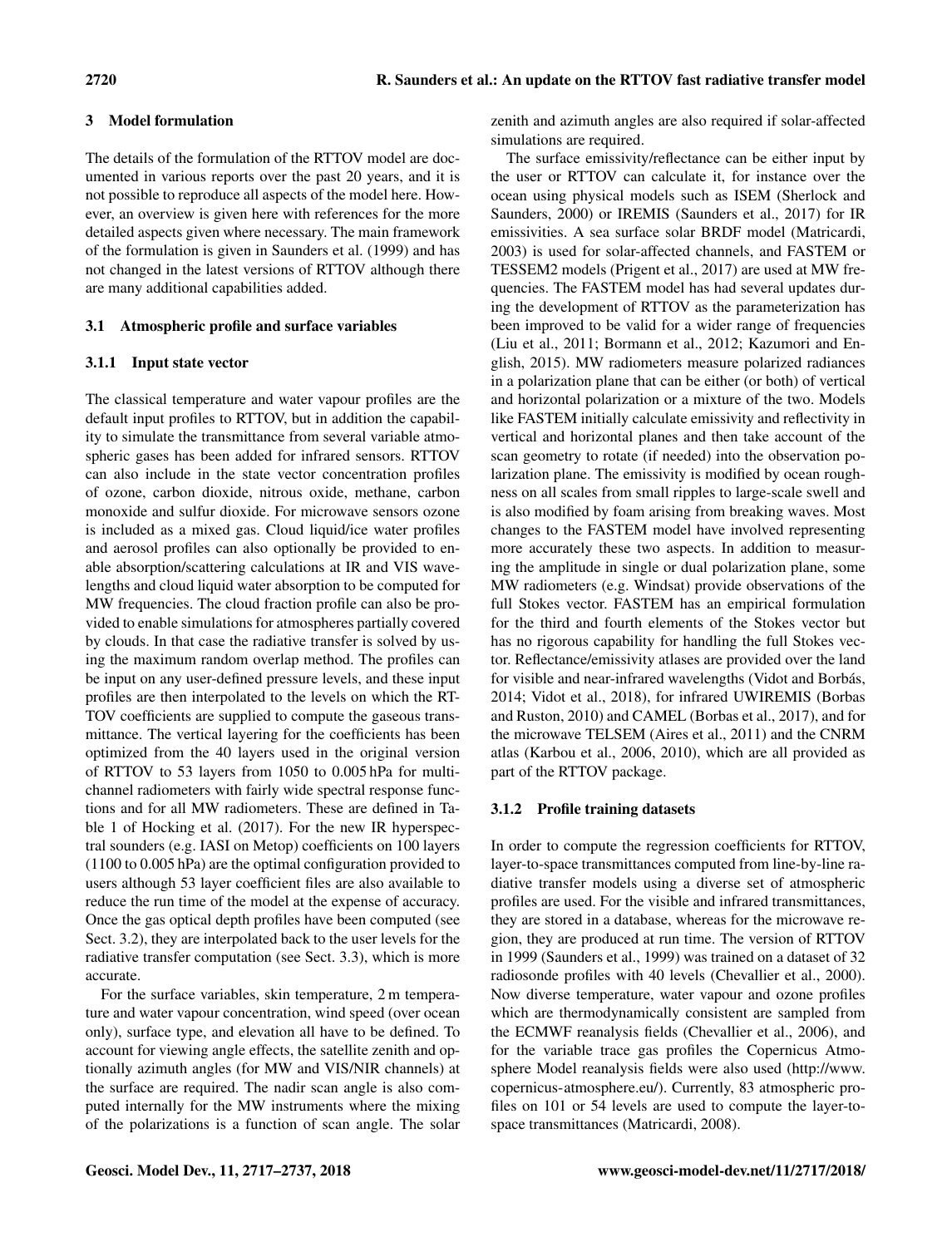# 3 Model formulation

The details of the formulation of the RTTOV model are documented in various reports over the past 20 years, and it is not possible to reproduce all aspects of the model here. However, an overview is given here with references for the more detailed aspects given where necessary. The main framework of the formulation is given in Saunders et al. (1999) and has not changed in the latest versions of RTTOV although there are many additional capabilities added.

# 3.1 Atmospheric profile and surface variables

#### 3.1.1 Input state vector

The classical temperature and water vapour profiles are the default input profiles to RTTOV, but in addition the capability to simulate the transmittance from several variable atmospheric gases has been added for infrared sensors. RTTOV can also include in the state vector concentration profiles of ozone, carbon dioxide, nitrous oxide, methane, carbon monoxide and sulfur dioxide. For microwave sensors ozone is included as a mixed gas. Cloud liquid/ice water profiles and aerosol profiles can also optionally be provided to enable absorption/scattering calculations at IR and VIS wavelengths and cloud liquid water absorption to be computed for MW frequencies. The cloud fraction profile can also be provided to enable simulations for atmospheres partially covered by clouds. In that case the radiative transfer is solved by using the maximum random overlap method. The profiles can be input on any user-defined pressure levels, and these input profiles are then interpolated to the levels on which the RT-TOV coefficients are supplied to compute the gaseous transmittance. The vertical layering for the coefficients has been optimized from the 40 layers used in the original version of RTTOV to 53 layers from 1050 to 0.005 hPa for multichannel radiometers with fairly wide spectral response functions and for all MW radiometers. These are defined in Table 1 of Hocking et al. (2017). For the new IR hyperspectral sounders (e.g. IASI on Metop) coefficients on 100 layers (1100 to 0.005 hPa) are the optimal configuration provided to users although 53 layer coefficient files are also available to reduce the run time of the model at the expense of accuracy. Once the gas optical depth profiles have been computed (see Sect. 3.2), they are interpolated back to the user levels for the radiative transfer computation (see Sect. 3.3), which is more accurate.

For the surface variables, skin temperature, 2 m temperature and water vapour concentration, wind speed (over ocean only), surface type, and elevation all have to be defined. To account for viewing angle effects, the satellite zenith and optionally azimuth angles (for MW and VIS/NIR channels) at the surface are required. The nadir scan angle is also computed internally for the MW instruments where the mixing of the polarizations is a function of scan angle. The solar zenith and azimuth angles are also required if solar-affected simulations are required.

The surface emissivity/reflectance can be either input by the user or RTTOV can calculate it, for instance over the ocean using physical models such as ISEM (Sherlock and Saunders, 2000) or IREMIS (Saunders et al., 2017) for IR emissivities. A sea surface solar BRDF model (Matricardi, 2003) is used for solar-affected channels, and FASTEM or TESSEM2 models (Prigent et al., 2017) are used at MW frequencies. The FASTEM model has had several updates during the development of RTTOV as the parameterization has been improved to be valid for a wider range of frequencies (Liu et al., 2011; Bormann et al., 2012; Kazumori and English, 2015). MW radiometers measure polarized radiances in a polarization plane that can be either (or both) of vertical and horizontal polarization or a mixture of the two. Models like FASTEM initially calculate emissivity and reflectivity in vertical and horizontal planes and then take account of the scan geometry to rotate (if needed) into the observation polarization plane. The emissivity is modified by ocean roughness on all scales from small ripples to large-scale swell and is also modified by foam arising from breaking waves. Most changes to the FASTEM model have involved representing more accurately these two aspects. In addition to measuring the amplitude in single or dual polarization plane, some MW radiometers (e.g. Windsat) provide observations of the full Stokes vector. FASTEM has an empirical formulation for the third and fourth elements of the Stokes vector but has no rigorous capability for handling the full Stokes vector. Reflectance/emissivity atlases are provided over the land for visible and near-infrared wavelengths (Vidot and Borbás, 2014; Vidot et al., 2018), for infrared UWIREMIS (Borbas and Ruston, 2010) and CAMEL (Borbas et al., 2017), and for the microwave TELSEM (Aires et al., 2011) and the CNRM atlas (Karbou et al., 2006, 2010), which are all provided as part of the RTTOV package.

# 3.1.2 Profile training datasets

In order to compute the regression coefficients for RTTOV, layer-to-space transmittances computed from line-by-line radiative transfer models using a diverse set of atmospheric profiles are used. For the visible and infrared transmittances, they are stored in a database, whereas for the microwave region, they are produced at run time. The version of RTTOV in 1999 (Saunders et al., 1999) was trained on a dataset of 32 radiosonde profiles with 40 levels (Chevallier et al., 2000). Now diverse temperature, water vapour and ozone profiles which are thermodynamically consistent are sampled from the ECMWF reanalysis fields (Chevallier et al., 2006), and for the variable trace gas profiles the Copernicus Atmosphere Model reanalysis fields were also used [\(http://www.](http://www.copernicus-atmosphere.eu/) [copernicus-atmosphere.eu/\)](http://www.copernicus-atmosphere.eu/). Currently, 83 atmospheric profiles on 101 or 54 levels are used to compute the layer-tospace transmittances (Matricardi, 2008).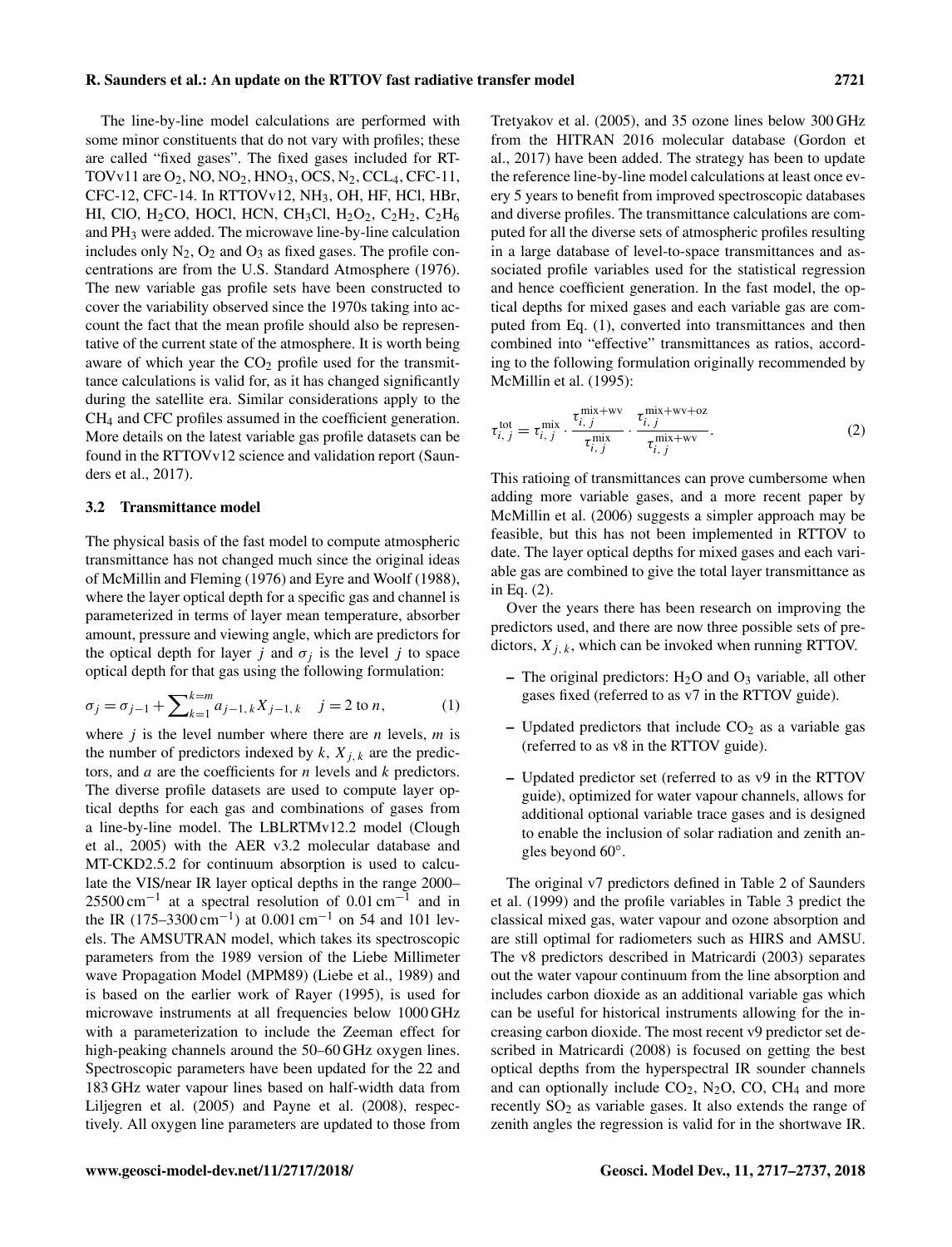The line-by-line model calculations are performed with some minor constituents that do not vary with profiles; these are called "fixed gases". The fixed gases included for RT-TOVv11 are  $O_2$ , NO, NO<sub>2</sub>, HNO<sub>3</sub>, OCS, N<sub>2</sub>, CCL<sub>4</sub>, CFC-11, CFC-12, CFC-14. In RTTOVv12, NH3, OH, HF, HCl, HBr, HI, ClO, H<sub>2</sub>CO, HOCl, HCN, CH<sub>3</sub>Cl, H<sub>2</sub>O<sub>2</sub>, C<sub>2</sub>H<sub>2</sub>, C<sub>2</sub>H<sub>6</sub> and PH<sup>3</sup> were added. The microwave line-by-line calculation includes only  $N_2$ ,  $O_2$  and  $O_3$  as fixed gases. The profile concentrations are from the U.S. Standard Atmosphere (1976). The new variable gas profile sets have been constructed to cover the variability observed since the 1970s taking into account the fact that the mean profile should also be representative of the current state of the atmosphere. It is worth being aware of which year the  $CO<sub>2</sub>$  profile used for the transmittance calculations is valid for, as it has changed significantly during the satellite era. Similar considerations apply to the CH<sup>4</sup> and CFC profiles assumed in the coefficient generation. More details on the latest variable gas profile datasets can be found in the RTTOVv12 science and validation report (Saunders et al., 2017).

#### 3.2 Transmittance model

The physical basis of the fast model to compute atmospheric transmittance has not changed much since the original ideas of McMillin and Fleming (1976) and Eyre and Woolf (1988), where the layer optical depth for a specific gas and channel is parameterized in terms of layer mean temperature, absorber amount, pressure and viewing angle, which are predictors for the optical depth for layer j and  $\sigma_i$  is the level j to space optical depth for that gas using the following formulation:

$$
\sigma_j = \sigma_{j-1} + \sum_{k=1}^{k=m} a_{j-1,k} X_{j-1,k} \quad j = 2 \text{ to } n,\tag{1}
$$

where  $j$  is the level number where there are *n* levels, *m* is the number of predictors indexed by  $k$ ,  $X_{i,k}$  are the predictors, and a are the coefficients for n levels and k predictors. The diverse profile datasets are used to compute layer optical depths for each gas and combinations of gases from a line-by-line model. The LBLRTMv12.2 model (Clough et al., 2005) with the AER v3.2 molecular database and MT-CKD2.5.2 for continuum absorption is used to calculate the VIS/near IR layer optical depths in the range 2000–  $25500 \text{ cm}^{-1}$  at a spectral resolution of 0.01 cm<sup>-1</sup> and in the IR (175–3300 cm<sup>-1</sup>) at 0.001 cm<sup>-1</sup> on 54 and 101 levels. The AMSUTRAN model, which takes its spectroscopic parameters from the 1989 version of the Liebe Millimeter wave Propagation Model (MPM89) (Liebe et al., 1989) and is based on the earlier work of Rayer (1995), is used for microwave instruments at all frequencies below 1000 GHz with a parameterization to include the Zeeman effect for high-peaking channels around the 50–60 GHz oxygen lines. Spectroscopic parameters have been updated for the 22 and 183 GHz water vapour lines based on half-width data from Liljegren et al. (2005) and Payne et al. (2008), respectively. All oxygen line parameters are updated to those from Tretyakov et al. (2005), and 35 ozone lines below 300 GHz from the HITRAN 2016 molecular database (Gordon et al., 2017) have been added. The strategy has been to update the reference line-by-line model calculations at least once every 5 years to benefit from improved spectroscopic databases and diverse profiles. The transmittance calculations are computed for all the diverse sets of atmospheric profiles resulting in a large database of level-to-space transmittances and associated profile variables used for the statistical regression and hence coefficient generation. In the fast model, the optical depths for mixed gases and each variable gas are computed from Eq. (1), converted into transmittances and then combined into "effective" transmittances as ratios, according to the following formulation originally recommended by McMillin et al. (1995):

$$
\tau_{i, j}^{\text{tot}} = \tau_{i, j}^{\text{mix}} \cdot \frac{\tau_{i, j}^{\text{mix}+wv}}{\tau_{i, j}^{\text{mix}} \cdot \frac{\tau_{i, j}^{\text{mix}+wv+oz}}{\tau_{i, j}^{\text{mix}+wv}}.
$$
 (2)

This ratioing of transmittances can prove cumbersome when adding more variable gases, and a more recent paper by McMillin et al. (2006) suggests a simpler approach may be feasible, but this has not been implemented in RTTOV to date. The layer optical depths for mixed gases and each variable gas are combined to give the total layer transmittance as in Eq. (2).

Over the years there has been research on improving the predictors used, and there are now three possible sets of predictors,  $X_{i,k}$ , which can be invoked when running RTTOV.

- The original predictors:  $H_2O$  and  $O_3$  variable, all other gases fixed (referred to as v7 in the RTTOV guide).
- Updated predictors that include  $CO<sub>2</sub>$  as a variable gas (referred to as v8 in the RTTOV guide).
- Updated predictor set (referred to as v9 in the RTTOV guide), optimized for water vapour channels, allows for additional optional variable trace gases and is designed to enable the inclusion of solar radiation and zenith angles beyond 60◦ .

The original v7 predictors defined in Table 2 of Saunders et al. (1999) and the profile variables in Table 3 predict the classical mixed gas, water vapour and ozone absorption and are still optimal for radiometers such as HIRS and AMSU. The v8 predictors described in Matricardi (2003) separates out the water vapour continuum from the line absorption and includes carbon dioxide as an additional variable gas which can be useful for historical instruments allowing for the increasing carbon dioxide. The most recent v9 predictor set described in Matricardi (2008) is focused on getting the best optical depths from the hyperspectral IR sounder channels and can optionally include  $CO<sub>2</sub>$ , N<sub>2</sub>O, CO, CH<sub>4</sub> and more recently  $SO<sub>2</sub>$  as variable gases. It also extends the range of zenith angles the regression is valid for in the shortwave IR.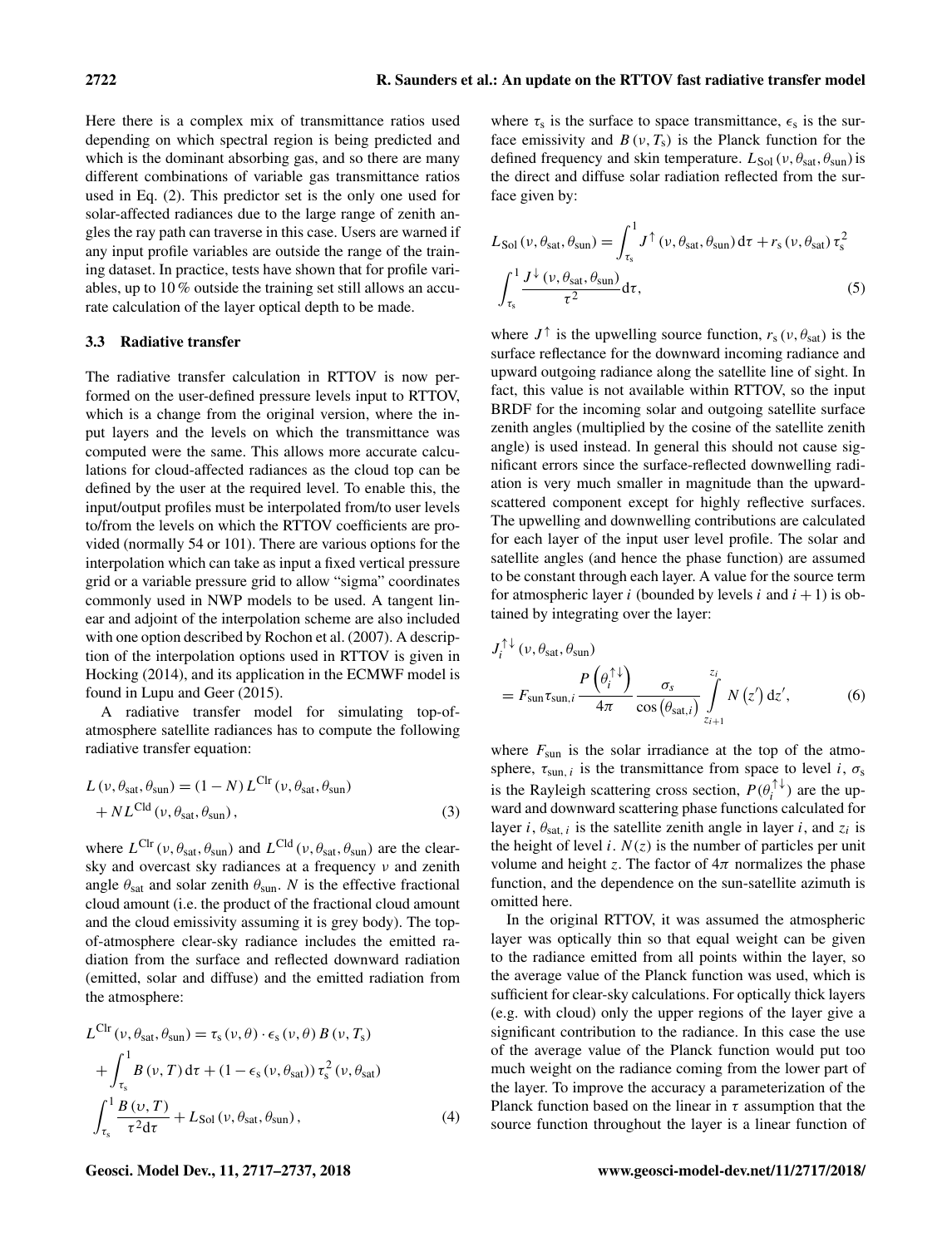Here there is a complex mix of transmittance ratios used depending on which spectral region is being predicted and which is the dominant absorbing gas, and so there are many different combinations of variable gas transmittance ratios used in Eq. (2). This predictor set is the only one used for solar-affected radiances due to the large range of zenith angles the ray path can traverse in this case. Users are warned if any input profile variables are outside the range of the training dataset. In practice, tests have shown that for profile variables, up to 10 % outside the training set still allows an accurate calculation of the layer optical depth to be made.

#### 3.3 Radiative transfer

The radiative transfer calculation in RTTOV is now performed on the user-defined pressure levels input to RTTOV, which is a change from the original version, where the input layers and the levels on which the transmittance was computed were the same. This allows more accurate calculations for cloud-affected radiances as the cloud top can be defined by the user at the required level. To enable this, the input/output profiles must be interpolated from/to user levels to/from the levels on which the RTTOV coefficients are provided (normally 54 or 101). There are various options for the interpolation which can take as input a fixed vertical pressure grid or a variable pressure grid to allow "sigma" coordinates commonly used in NWP models to be used. A tangent linear and adjoint of the interpolation scheme are also included with one option described by Rochon et al. (2007). A description of the interpolation options used in RTTOV is given in Hocking (2014), and its application in the ECMWF model is found in Lupu and Geer (2015).

A radiative transfer model for simulating top-ofatmosphere satellite radiances has to compute the following radiative transfer equation:

$$
L(\nu, \theta_{sat}, \theta_{sun}) = (1 - N) L^{Clr} (\nu, \theta_{sat}, \theta_{sun})
$$
  
+  $N L^{Cld} (\nu, \theta_{sat}, \theta_{sun}),$  (3)

where  $L^{Clr}(\nu, \theta_{sat}, \theta_{sun})$  and  $L^{Cld}(\nu, \theta_{sat}, \theta_{sun})$  are the clearsky and overcast sky radiances at a frequency ν and zenith angle  $\theta_{\text{sat}}$  and solar zenith  $\theta_{\text{sun}}$ . N is the effective fractional cloud amount (i.e. the product of the fractional cloud amount and the cloud emissivity assuming it is grey body). The topof-atmosphere clear-sky radiance includes the emitted radiation from the surface and reflected downward radiation (emitted, solar and diffuse) and the emitted radiation from the atmosphere:

$$
L^{Clr}(\nu, \theta_{sat}, \theta_{sun}) = \tau_s(\nu, \theta) \cdot \epsilon_s(\nu, \theta) B(\nu, T_s)
$$
  
+ 
$$
\int_{\tau_s}^{1} B(\nu, T) d\tau + (1 - \epsilon_s(\nu, \theta_{sat})) \tau_s^2(\nu, \theta_{sat})
$$
  

$$
\int_{\tau_s}^{1} \frac{B(\nu, T)}{\tau^2 d\tau} + L_{Sol}(\nu, \theta_{sat}, \theta_{sun}),
$$
 (4)

where  $\tau_s$  is the surface to space transmittance,  $\epsilon_s$  is the surface emissivity and  $B(v, T_s)$  is the Planck function for the defined frequency and skin temperature.  $L_{Sol}(v, \theta_{sat}, \theta_{sun})$  is the direct and diffuse solar radiation reflected from the surface given by:

$$
L_{Sol}(\nu, \theta_{sat}, \theta_{sun}) = \int_{\tau_s}^{1} J^{\uparrow}(\nu, \theta_{sat}, \theta_{sun}) d\tau + r_s(\nu, \theta_{sat}) \tau_s^2
$$

$$
\int_{\tau_s}^{1} \frac{J^{\downarrow}(\nu, \theta_{sat}, \theta_{sun})}{\tau^2} d\tau,
$$
(5)

where  $J^{\uparrow}$  is the upwelling source function,  $r_s(v, \theta_{sat})$  is the surface reflectance for the downward incoming radiance and upward outgoing radiance along the satellite line of sight. In fact, this value is not available within RTTOV, so the input BRDF for the incoming solar and outgoing satellite surface zenith angles (multiplied by the cosine of the satellite zenith angle) is used instead. In general this should not cause significant errors since the surface-reflected downwelling radiation is very much smaller in magnitude than the upwardscattered component except for highly reflective surfaces. The upwelling and downwelling contributions are calculated for each layer of the input user level profile. The solar and satellite angles (and hence the phase function) are assumed to be constant through each layer. A value for the source term for atmospheric layer i (bounded by levels i and  $i + 1$ ) is obtained by integrating over the layer:

$$
J_i^{\uparrow\downarrow}(\nu, \theta_{\text{sat}}, \theta_{\text{sun}})
$$
  
=  $F_{\text{sun}} \tau_{\text{sun}, i} \frac{P(\theta_i^{\uparrow\downarrow})}{4\pi} \frac{\sigma_s}{\cos(\theta_{\text{sat},i})} \int_{z_{i+1}}^{z_i} N(z') dz',$  (6)

where  $F_{\text{sun}}$  is the solar irradiance at the top of the atmosphere,  $\tau_{sun, i}$  is the transmittance from space to level i,  $\sigma_s$ is the Rayleigh scattering cross section,  $P(\theta_i^{\uparrow\downarrow})$  are the upward and downward scattering phase functions calculated for layer *i*,  $\theta_{\text{sat, }i}$  is the satellite zenith angle in layer *i*, and  $z_i$  is the height of level i.  $N(z)$  is the number of particles per unit volume and height z. The factor of  $4\pi$  normalizes the phase function, and the dependence on the sun-satellite azimuth is omitted here.

In the original RTTOV, it was assumed the atmospheric layer was optically thin so that equal weight can be given to the radiance emitted from all points within the layer, so the average value of the Planck function was used, which is sufficient for clear-sky calculations. For optically thick layers (e.g. with cloud) only the upper regions of the layer give a significant contribution to the radiance. In this case the use of the average value of the Planck function would put too much weight on the radiance coming from the lower part of the layer. To improve the accuracy a parameterization of the Planck function based on the linear in  $\tau$  assumption that the source function throughout the layer is a linear function of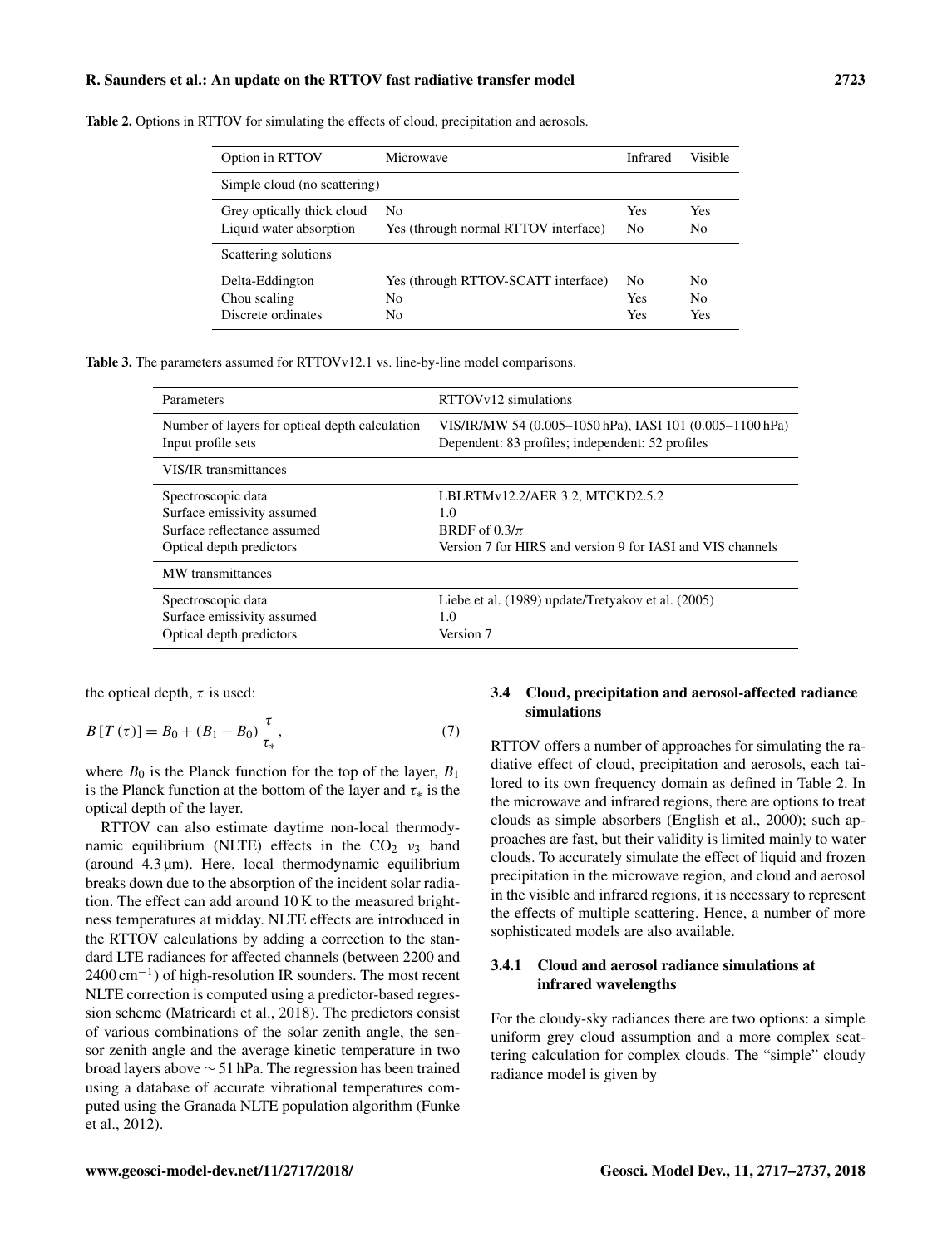| Option in RTTOV                                       | Microwave                                       | <b>Infrared</b>              | Visible                     |  |
|-------------------------------------------------------|-------------------------------------------------|------------------------------|-----------------------------|--|
| Simple cloud (no scattering)                          |                                                 |                              |                             |  |
| Grey optically thick cloud<br>Liquid water absorption | No<br>Yes (through normal RTTOV interface)      | Yes<br>No                    | Yes<br>N <sub>0</sub>       |  |
| Scattering solutions                                  |                                                 |                              |                             |  |
| Delta-Eddington<br>Chou scaling<br>Discrete ordinates | Yes (through RTTOV-SCATT interface)<br>No<br>No | N <sub>0</sub><br>Yes<br>Yes | No<br>N <sub>0</sub><br>Yes |  |

Table 2. Options in RTTOV for simulating the effects of cloud, precipitation and aerosols.

Table 3. The parameters assumed for RTTOVv12.1 vs. line-by-line model comparisons.

| Parameters                                     | RTTOVy12 simulations                                       |  |  |
|------------------------------------------------|------------------------------------------------------------|--|--|
| Number of layers for optical depth calculation | VIS/IR/MW 54 (0.005-1050 hPa), IASI 101 (0.005-1100 hPa)   |  |  |
| Input profile sets                             | Dependent: 83 profiles; independent: 52 profiles           |  |  |
| <b>VIS/IR</b> transmittances                   |                                                            |  |  |
| Spectroscopic data                             | LBLRTMv12.2/AER 3.2, MTCKD2.5.2                            |  |  |
| Surface emissivity assumed                     | 1.0                                                        |  |  |
| Surface reflectance assumed                    | BRDF of $0.3/\pi$                                          |  |  |
| Optical depth predictors                       | Version 7 for HIRS and version 9 for IASI and VIS channels |  |  |
| MW transmittances                              |                                                            |  |  |
| Spectroscopic data                             | Liebe et al. (1989) update/Tretyakov et al. (2005)         |  |  |
| Surface emissivity assumed                     | 1.0                                                        |  |  |
| Optical depth predictors                       | Version 7                                                  |  |  |

the optical depth,  $\tau$  is used:

$$
B[T(\tau)] = B_0 + (B_1 - B_0) \frac{\tau}{\tau_*},
$$
\n(7)

where  $B_0$  is the Planck function for the top of the layer,  $B_1$ is the Planck function at the bottom of the layer and  $\tau_*$  is the optical depth of the layer.

RTTOV can also estimate daytime non-local thermodynamic equilibrium (NLTE) effects in the  $CO<sub>2</sub>$   $v<sub>3</sub>$  band (around  $4.3 \mu m$ ). Here, local thermodynamic equilibrium breaks down due to the absorption of the incident solar radiation. The effect can add around 10 K to the measured brightness temperatures at midday. NLTE effects are introduced in the RTTOV calculations by adding a correction to the standard LTE radiances for affected channels (between 2200 and 2400 cm<sup>-1</sup>) of high-resolution IR sounders. The most recent NLTE correction is computed using a predictor-based regression scheme (Matricardi et al., 2018). The predictors consist of various combinations of the solar zenith angle, the sensor zenith angle and the average kinetic temperature in two broad layers above ∼ 51 hPa. The regression has been trained using a database of accurate vibrational temperatures computed using the Granada NLTE population algorithm (Funke et al., 2012).

#### 3.4 Cloud, precipitation and aerosol-affected radiance simulations

RTTOV offers a number of approaches for simulating the radiative effect of cloud, precipitation and aerosols, each tailored to its own frequency domain as defined in Table 2. In the microwave and infrared regions, there are options to treat clouds as simple absorbers (English et al., 2000); such approaches are fast, but their validity is limited mainly to water clouds. To accurately simulate the effect of liquid and frozen precipitation in the microwave region, and cloud and aerosol in the visible and infrared regions, it is necessary to represent the effects of multiple scattering. Hence, a number of more sophisticated models are also available.

#### 3.4.1 Cloud and aerosol radiance simulations at infrared wavelengths

For the cloudy-sky radiances there are two options: a simple uniform grey cloud assumption and a more complex scattering calculation for complex clouds. The "simple" cloudy radiance model is given by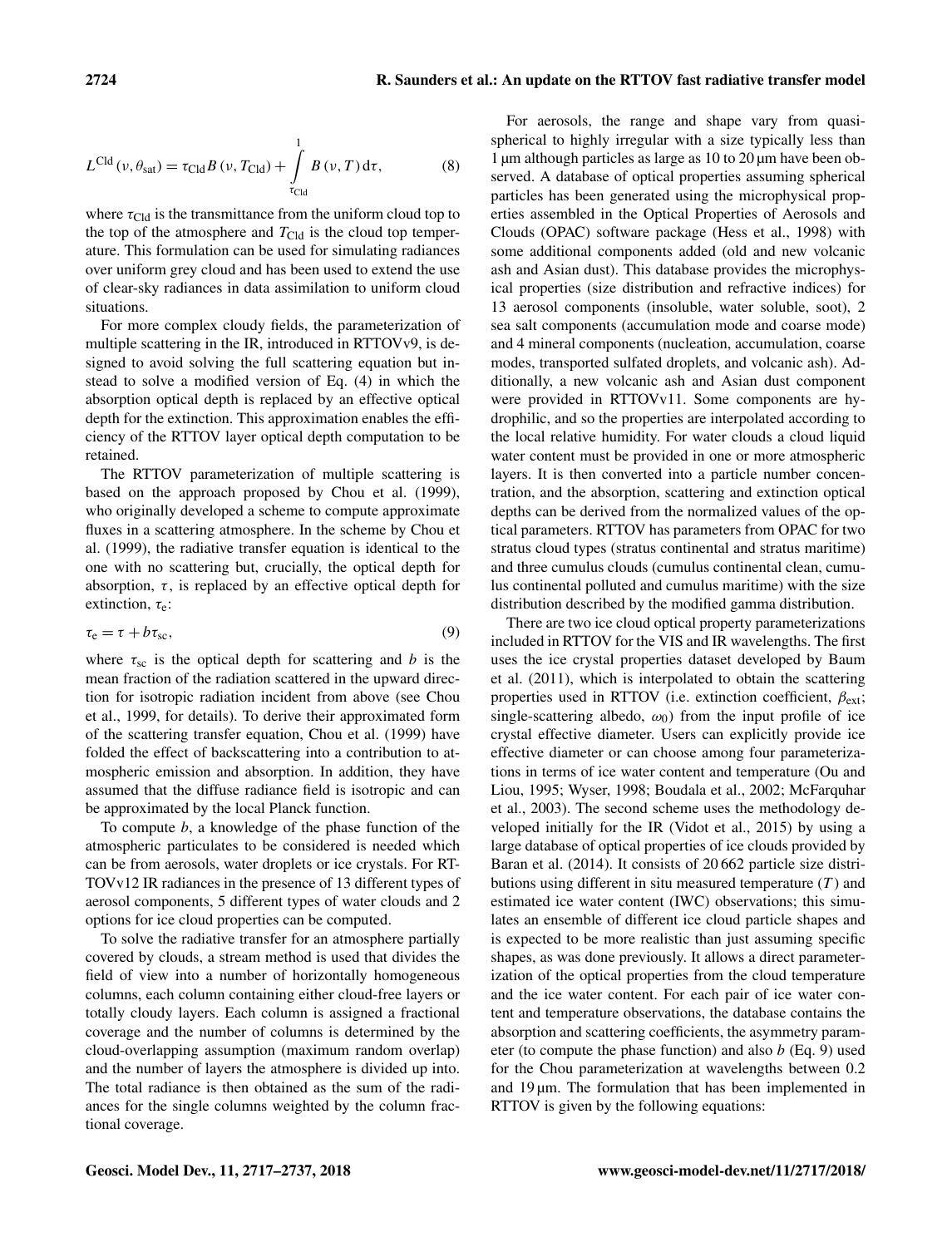$$
L^{Cld}(v, \theta_{sat}) = \tau_{Cld} B(v, T_{Cld}) + \int_{\tau_{Cld}}^{1} B(v, T) d\tau,
$$
 (8)

where  $\tau_{\text{Cld}}$  is the transmittance from the uniform cloud top to the top of the atmosphere and  $T_{\text{Cld}}$  is the cloud top temperature. This formulation can be used for simulating radiances over uniform grey cloud and has been used to extend the use of clear-sky radiances in data assimilation to uniform cloud situations.

For more complex cloudy fields, the parameterization of multiple scattering in the IR, introduced in RTTOVv9, is designed to avoid solving the full scattering equation but instead to solve a modified version of Eq. (4) in which the absorption optical depth is replaced by an effective optical depth for the extinction. This approximation enables the efficiency of the RTTOV layer optical depth computation to be retained.

The RTTOV parameterization of multiple scattering is based on the approach proposed by Chou et al. (1999), who originally developed a scheme to compute approximate fluxes in a scattering atmosphere. In the scheme by Chou et al. (1999), the radiative transfer equation is identical to the one with no scattering but, crucially, the optical depth for absorption,  $\tau$ , is replaced by an effective optical depth for extinction,  $\tau_e$ :

$$
\tau_{\rm e} = \tau + b\tau_{\rm sc},\tag{9}
$$

where  $\tau_{sc}$  is the optical depth for scattering and b is the mean fraction of the radiation scattered in the upward direction for isotropic radiation incident from above (see Chou et al., 1999, for details). To derive their approximated form of the scattering transfer equation, Chou et al. (1999) have folded the effect of backscattering into a contribution to atmospheric emission and absorption. In addition, they have assumed that the diffuse radiance field is isotropic and can be approximated by the local Planck function.

To compute  $b$ , a knowledge of the phase function of the atmospheric particulates to be considered is needed which can be from aerosols, water droplets or ice crystals. For RT-TOVv12 IR radiances in the presence of 13 different types of aerosol components, 5 different types of water clouds and 2 options for ice cloud properties can be computed.

To solve the radiative transfer for an atmosphere partially covered by clouds, a stream method is used that divides the field of view into a number of horizontally homogeneous columns, each column containing either cloud-free layers or totally cloudy layers. Each column is assigned a fractional coverage and the number of columns is determined by the cloud-overlapping assumption (maximum random overlap) and the number of layers the atmosphere is divided up into. The total radiance is then obtained as the sum of the radiances for the single columns weighted by the column fractional coverage.

For aerosols, the range and shape vary from quasispherical to highly irregular with a size typically less than 1 µm although particles as large as 10 to 20 µm have been observed. A database of optical properties assuming spherical particles has been generated using the microphysical properties assembled in the Optical Properties of Aerosols and Clouds (OPAC) software package (Hess et al., 1998) with some additional components added (old and new volcanic ash and Asian dust). This database provides the microphysical properties (size distribution and refractive indices) for 13 aerosol components (insoluble, water soluble, soot), 2 sea salt components (accumulation mode and coarse mode) and 4 mineral components (nucleation, accumulation, coarse modes, transported sulfated droplets, and volcanic ash). Additionally, a new volcanic ash and Asian dust component were provided in RTTOVv11. Some components are hydrophilic, and so the properties are interpolated according to the local relative humidity. For water clouds a cloud liquid water content must be provided in one or more atmospheric layers. It is then converted into a particle number concentration, and the absorption, scattering and extinction optical depths can be derived from the normalized values of the optical parameters. RTTOV has parameters from OPAC for two stratus cloud types (stratus continental and stratus maritime) and three cumulus clouds (cumulus continental clean, cumulus continental polluted and cumulus maritime) with the size distribution described by the modified gamma distribution.

There are two ice cloud optical property parameterizations included in RTTOV for the VIS and IR wavelengths. The first uses the ice crystal properties dataset developed by Baum et al. (2011), which is interpolated to obtain the scattering properties used in RTTOV (i.e. extinction coefficient,  $\beta_{\text{ext}}$ ; single-scattering albedo,  $\omega_0$ ) from the input profile of ice crystal effective diameter. Users can explicitly provide ice effective diameter or can choose among four parameterizations in terms of ice water content and temperature (Ou and Liou, 1995; Wyser, 1998; Boudala et al., 2002; McFarquhar et al., 2003). The second scheme uses the methodology developed initially for the IR (Vidot et al., 2015) by using a large database of optical properties of ice clouds provided by Baran et al. (2014). It consists of 20 662 particle size distributions using different in situ measured temperature  $(T)$  and estimated ice water content (IWC) observations; this simulates an ensemble of different ice cloud particle shapes and is expected to be more realistic than just assuming specific shapes, as was done previously. It allows a direct parameterization of the optical properties from the cloud temperature and the ice water content. For each pair of ice water content and temperature observations, the database contains the absorption and scattering coefficients, the asymmetry parameter (to compute the phase function) and also  $b$  (Eq. 9) used for the Chou parameterization at wavelengths between 0.2 and 19 µm. The formulation that has been implemented in RTTOV is given by the following equations: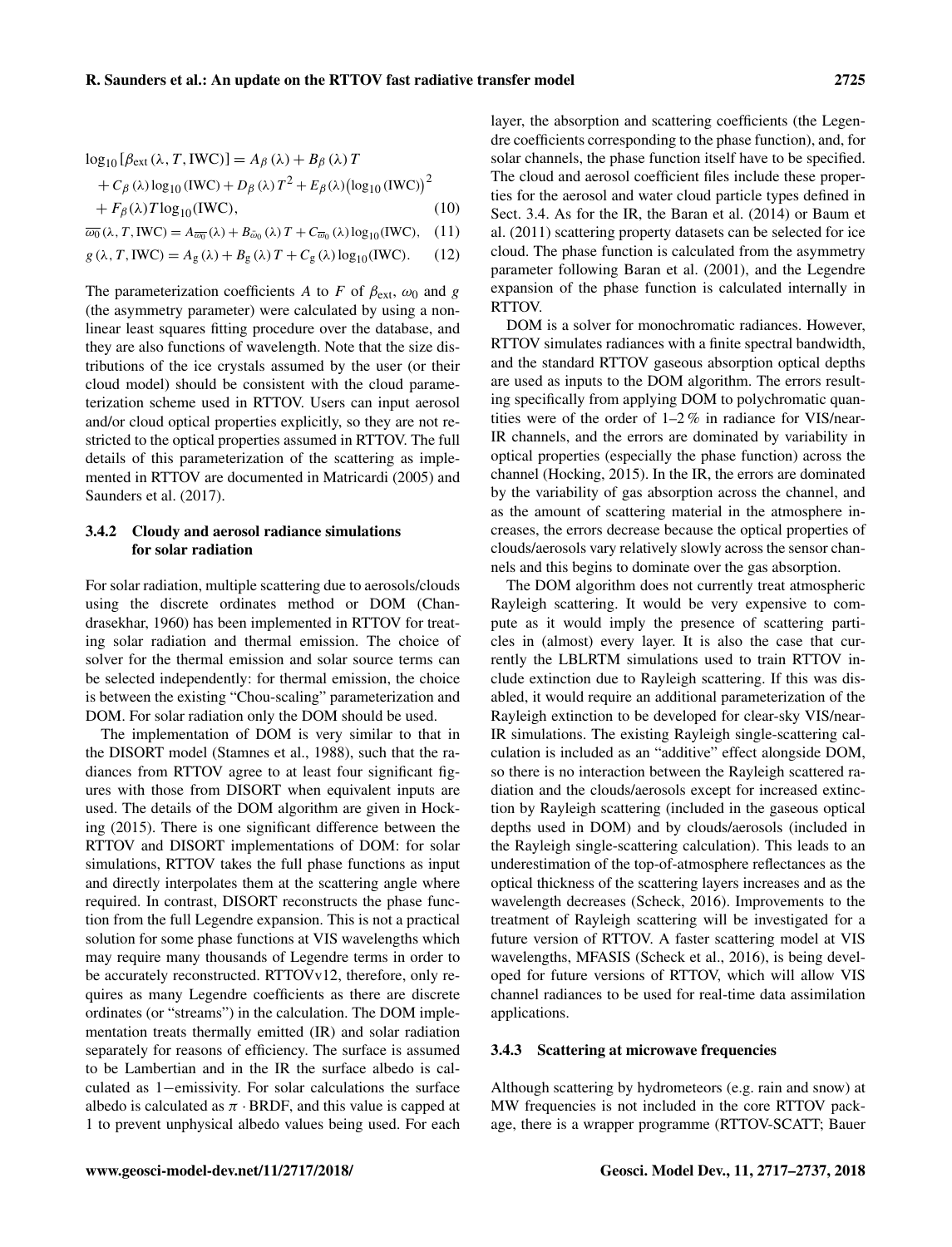$$
log_{10} [\beta_{ext}(\lambda, T, IWC)] = A_{\beta} (\lambda) + B_{\beta} (\lambda) T
$$
  
+  $C_{\beta} (\lambda) log_{10} (IWC) + D_{\beta} (\lambda) T^2 + E_{\beta} (\lambda) (log_{10} (IWC))^2$   
+  $F_{\beta} (\lambda) T log_{10} (IWC)$ , (10)

 $\overline{\omega_0}(\lambda, T, \text{IWC}) = A_{\overline{\omega_0}}(\lambda) + B_{\overline{\omega}_0}(\lambda) T + C_{\overline{\omega}_0}(\lambda) \log_{10}(\text{IWC}),$  (11)

 $g(\lambda, T, IWC) = A_g(\lambda) + B_g(\lambda)T + C_g(\lambda)\log_{10}(IWC).$  (12)

The parameterization coefficients A to F of  $\beta_{ext}$ ,  $\omega_0$  and g (the asymmetry parameter) were calculated by using a nonlinear least squares fitting procedure over the database, and they are also functions of wavelength. Note that the size distributions of the ice crystals assumed by the user (or their cloud model) should be consistent with the cloud parameterization scheme used in RTTOV. Users can input aerosol and/or cloud optical properties explicitly, so they are not restricted to the optical properties assumed in RTTOV. The full details of this parameterization of the scattering as implemented in RTTOV are documented in Matricardi (2005) and Saunders et al. (2017).

#### 3.4.2 Cloudy and aerosol radiance simulations for solar radiation

For solar radiation, multiple scattering due to aerosols/clouds using the discrete ordinates method or DOM (Chandrasekhar, 1960) has been implemented in RTTOV for treating solar radiation and thermal emission. The choice of solver for the thermal emission and solar source terms can be selected independently: for thermal emission, the choice is between the existing "Chou-scaling" parameterization and DOM. For solar radiation only the DOM should be used.

The implementation of DOM is very similar to that in the DISORT model (Stamnes et al., 1988), such that the radiances from RTTOV agree to at least four significant figures with those from DISORT when equivalent inputs are used. The details of the DOM algorithm are given in Hocking (2015). There is one significant difference between the RTTOV and DISORT implementations of DOM: for solar simulations, RTTOV takes the full phase functions as input and directly interpolates them at the scattering angle where required. In contrast, DISORT reconstructs the phase function from the full Legendre expansion. This is not a practical solution for some phase functions at VIS wavelengths which may require many thousands of Legendre terms in order to be accurately reconstructed. RTTOVv12, therefore, only requires as many Legendre coefficients as there are discrete ordinates (or "streams") in the calculation. The DOM implementation treats thermally emitted (IR) and solar radiation separately for reasons of efficiency. The surface is assumed to be Lambertian and in the IR the surface albedo is calculated as 1−emissivity. For solar calculations the surface albedo is calculated as  $\pi \cdot$  BRDF, and this value is capped at 1 to prevent unphysical albedo values being used. For each layer, the absorption and scattering coefficients (the Legendre coefficients corresponding to the phase function), and, for solar channels, the phase function itself have to be specified. The cloud and aerosol coefficient files include these properties for the aerosol and water cloud particle types defined in Sect. 3.4. As for the IR, the Baran et al. (2014) or Baum et al. (2011) scattering property datasets can be selected for ice cloud. The phase function is calculated from the asymmetry parameter following Baran et al. (2001), and the Legendre expansion of the phase function is calculated internally in RTTOV.

DOM is a solver for monochromatic radiances. However, RTTOV simulates radiances with a finite spectral bandwidth, and the standard RTTOV gaseous absorption optical depths are used as inputs to the DOM algorithm. The errors resulting specifically from applying DOM to polychromatic quantities were of the order of 1–2 % in radiance for VIS/near-IR channels, and the errors are dominated by variability in optical properties (especially the phase function) across the channel (Hocking, 2015). In the IR, the errors are dominated by the variability of gas absorption across the channel, and as the amount of scattering material in the atmosphere increases, the errors decrease because the optical properties of clouds/aerosols vary relatively slowly across the sensor channels and this begins to dominate over the gas absorption.

The DOM algorithm does not currently treat atmospheric Rayleigh scattering. It would be very expensive to compute as it would imply the presence of scattering particles in (almost) every layer. It is also the case that currently the LBLRTM simulations used to train RTTOV include extinction due to Rayleigh scattering. If this was disabled, it would require an additional parameterization of the Rayleigh extinction to be developed for clear-sky VIS/near-IR simulations. The existing Rayleigh single-scattering calculation is included as an "additive" effect alongside DOM, so there is no interaction between the Rayleigh scattered radiation and the clouds/aerosols except for increased extinction by Rayleigh scattering (included in the gaseous optical depths used in DOM) and by clouds/aerosols (included in the Rayleigh single-scattering calculation). This leads to an underestimation of the top-of-atmosphere reflectances as the optical thickness of the scattering layers increases and as the wavelength decreases (Scheck, 2016). Improvements to the treatment of Rayleigh scattering will be investigated for a future version of RTTOV. A faster scattering model at VIS wavelengths, MFASIS (Scheck et al., 2016), is being developed for future versions of RTTOV, which will allow VIS channel radiances to be used for real-time data assimilation applications.

#### 3.4.3 Scattering at microwave frequencies

Although scattering by hydrometeors (e.g. rain and snow) at MW frequencies is not included in the core RTTOV package, there is a wrapper programme (RTTOV-SCATT; Bauer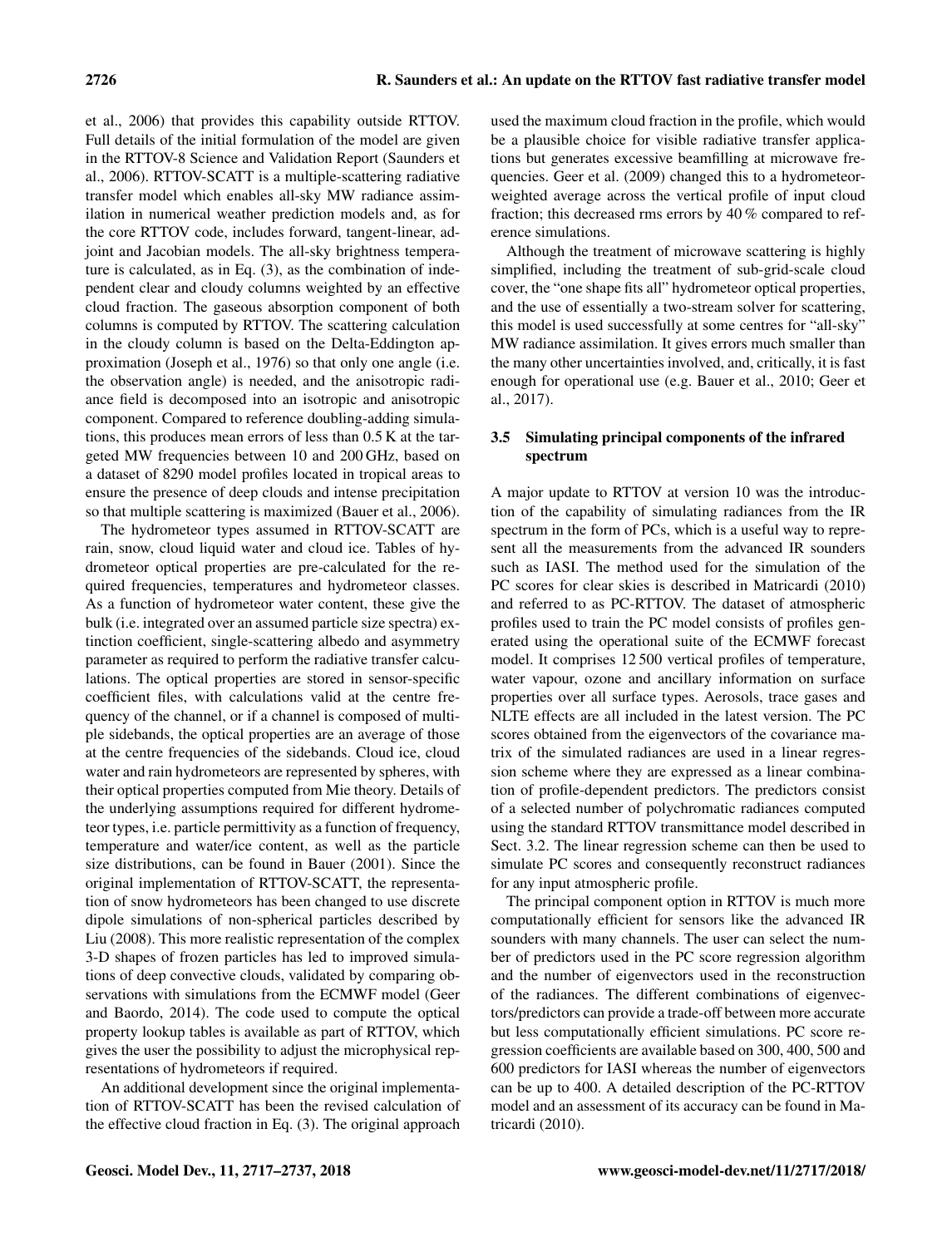et al., 2006) that provides this capability outside RTTOV. Full details of the initial formulation of the model are given in the RTTOV-8 Science and Validation Report (Saunders et al., 2006). RTTOV-SCATT is a multiple-scattering radiative transfer model which enables all-sky MW radiance assimilation in numerical weather prediction models and, as for the core RTTOV code, includes forward, tangent-linear, adjoint and Jacobian models. The all-sky brightness temperature is calculated, as in Eq. (3), as the combination of independent clear and cloudy columns weighted by an effective cloud fraction. The gaseous absorption component of both columns is computed by RTTOV. The scattering calculation in the cloudy column is based on the Delta-Eddington approximation (Joseph et al., 1976) so that only one angle (i.e. the observation angle) is needed, and the anisotropic radiance field is decomposed into an isotropic and anisotropic component. Compared to reference doubling-adding simulations, this produces mean errors of less than 0.5 K at the targeted MW frequencies between 10 and 200 GHz, based on a dataset of 8290 model profiles located in tropical areas to ensure the presence of deep clouds and intense precipitation so that multiple scattering is maximized (Bauer et al., 2006).

The hydrometeor types assumed in RTTOV-SCATT are rain, snow, cloud liquid water and cloud ice. Tables of hydrometeor optical properties are pre-calculated for the required frequencies, temperatures and hydrometeor classes. As a function of hydrometeor water content, these give the bulk (i.e. integrated over an assumed particle size spectra) extinction coefficient, single-scattering albedo and asymmetry parameter as required to perform the radiative transfer calculations. The optical properties are stored in sensor-specific coefficient files, with calculations valid at the centre frequency of the channel, or if a channel is composed of multiple sidebands, the optical properties are an average of those at the centre frequencies of the sidebands. Cloud ice, cloud water and rain hydrometeors are represented by spheres, with their optical properties computed from Mie theory. Details of the underlying assumptions required for different hydrometeor types, i.e. particle permittivity as a function of frequency, temperature and water/ice content, as well as the particle size distributions, can be found in Bauer (2001). Since the original implementation of RTTOV-SCATT, the representation of snow hydrometeors has been changed to use discrete dipole simulations of non-spherical particles described by Liu (2008). This more realistic representation of the complex 3-D shapes of frozen particles has led to improved simulations of deep convective clouds, validated by comparing observations with simulations from the ECMWF model (Geer and Baordo, 2014). The code used to compute the optical property lookup tables is available as part of RTTOV, which gives the user the possibility to adjust the microphysical representations of hydrometeors if required.

An additional development since the original implementation of RTTOV-SCATT has been the revised calculation of the effective cloud fraction in Eq. (3). The original approach used the maximum cloud fraction in the profile, which would be a plausible choice for visible radiative transfer applications but generates excessive beamfilling at microwave frequencies. Geer et al. (2009) changed this to a hydrometeorweighted average across the vertical profile of input cloud fraction; this decreased rms errors by 40 % compared to reference simulations.

Although the treatment of microwave scattering is highly simplified, including the treatment of sub-grid-scale cloud cover, the "one shape fits all" hydrometeor optical properties, and the use of essentially a two-stream solver for scattering, this model is used successfully at some centres for "all-sky" MW radiance assimilation. It gives errors much smaller than the many other uncertainties involved, and, critically, it is fast enough for operational use (e.g. Bauer et al., 2010; Geer et al., 2017).

# 3.5 Simulating principal components of the infrared spectrum

A major update to RTTOV at version 10 was the introduction of the capability of simulating radiances from the IR spectrum in the form of PCs, which is a useful way to represent all the measurements from the advanced IR sounders such as IASI. The method used for the simulation of the PC scores for clear skies is described in Matricardi (2010) and referred to as PC-RTTOV. The dataset of atmospheric profiles used to train the PC model consists of profiles generated using the operational suite of the ECMWF forecast model. It comprises 12 500 vertical profiles of temperature, water vapour, ozone and ancillary information on surface properties over all surface types. Aerosols, trace gases and NLTE effects are all included in the latest version. The PC scores obtained from the eigenvectors of the covariance matrix of the simulated radiances are used in a linear regression scheme where they are expressed as a linear combination of profile-dependent predictors. The predictors consist of a selected number of polychromatic radiances computed using the standard RTTOV transmittance model described in Sect. 3.2. The linear regression scheme can then be used to simulate PC scores and consequently reconstruct radiances for any input atmospheric profile.

The principal component option in RTTOV is much more computationally efficient for sensors like the advanced IR sounders with many channels. The user can select the number of predictors used in the PC score regression algorithm and the number of eigenvectors used in the reconstruction of the radiances. The different combinations of eigenvectors/predictors can provide a trade-off between more accurate but less computationally efficient simulations. PC score regression coefficients are available based on 300, 400, 500 and 600 predictors for IASI whereas the number of eigenvectors can be up to 400. A detailed description of the PC-RTTOV model and an assessment of its accuracy can be found in Matricardi (2010).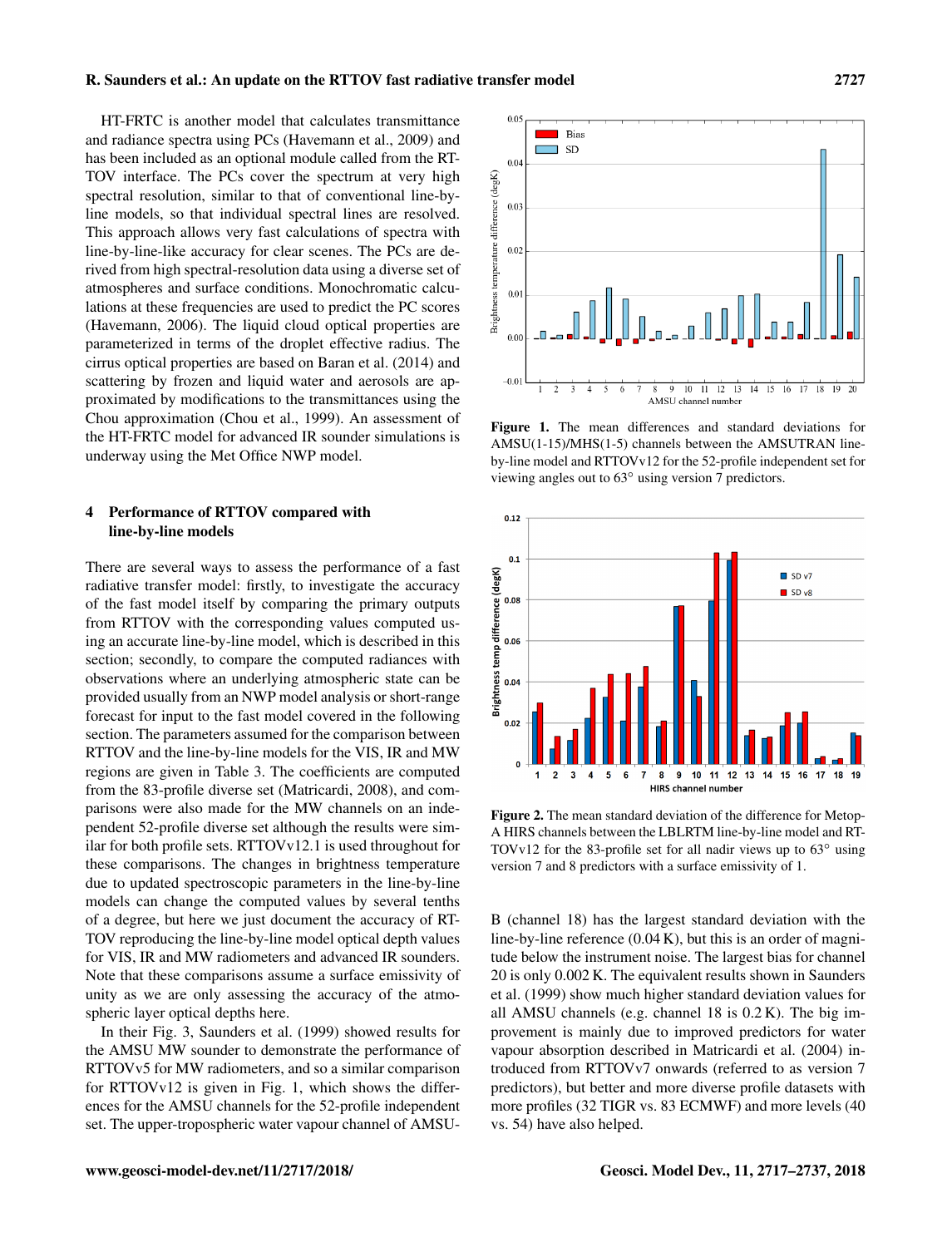HT-FRTC is another model that calculates transmittance and radiance spectra using PCs (Havemann et al., 2009) and has been included as an optional module called from the RT-TOV interface. The PCs cover the spectrum at very high spectral resolution, similar to that of conventional line-byline models, so that individual spectral lines are resolved. This approach allows very fast calculations of spectra with line-by-line-like accuracy for clear scenes. The PCs are derived from high spectral-resolution data using a diverse set of atmospheres and surface conditions. Monochromatic calculations at these frequencies are used to predict the PC scores (Havemann, 2006). The liquid cloud optical properties are parameterized in terms of the droplet effective radius. The cirrus optical properties are based on Baran et al. (2014) and scattering by frozen and liquid water and aerosols are approximated by modifications to the transmittances using the Chou approximation (Chou et al., 1999). An assessment of the HT-FRTC model for advanced IR sounder simulations is underway using the Met Office NWP model.

#### 4 Performance of RTTOV compared with line-by-line models

There are several ways to assess the performance of a fast radiative transfer model: firstly, to investigate the accuracy of the fast model itself by comparing the primary outputs from RTTOV with the corresponding values computed using an accurate line-by-line model, which is described in this section; secondly, to compare the computed radiances with observations where an underlying atmospheric state can be provided usually from an NWP model analysis or short-range forecast for input to the fast model covered in the following section. The parameters assumed for the comparison between RTTOV and the line-by-line models for the VIS, IR and MW regions are given in Table 3. The coefficients are computed from the 83-profile diverse set (Matricardi, 2008), and comparisons were also made for the MW channels on an independent 52-profile diverse set although the results were similar for both profile sets. RTTOVv12.1 is used throughout for these comparisons. The changes in brightness temperature due to updated spectroscopic parameters in the line-by-line models can change the computed values by several tenths of a degree, but here we just document the accuracy of RT-TOV reproducing the line-by-line model optical depth values for VIS, IR and MW radiometers and advanced IR sounders. Note that these comparisons assume a surface emissivity of unity as we are only assessing the accuracy of the atmospheric layer optical depths here.

In their Fig. 3, Saunders et al. (1999) showed results for the AMSU MW sounder to demonstrate the performance of RTTOVv5 for MW radiometers, and so a similar comparison for RTTOVv12 is given in Fig. 1, which shows the differences for the AMSU channels for the 52-profile independent set. The upper-tropospheric water vapour channel of AMSU-



Figure 1. The mean differences and standard deviations for AMSU(1-15)/MHS(1-5) channels between the AMSUTRAN lineby-line model and RTTOVv12 for the 52-profile independent set for viewing angles out to 63◦ using version 7 predictors.



Figure 2. The mean standard deviation of the difference for Metop-A HIRS channels between the LBLRTM line-by-line model and RT-TOVv12 for the 83-profile set for all nadir views up to 63◦ using version 7 and 8 predictors with a surface emissivity of 1.

B (channel 18) has the largest standard deviation with the line-by-line reference (0.04 K), but this is an order of magnitude below the instrument noise. The largest bias for channel 20 is only 0.002 K. The equivalent results shown in Saunders et al. (1999) show much higher standard deviation values for all AMSU channels (e.g. channel 18 is 0.2 K). The big improvement is mainly due to improved predictors for water vapour absorption described in Matricardi et al. (2004) introduced from RTTOVv7 onwards (referred to as version 7 predictors), but better and more diverse profile datasets with more profiles (32 TIGR vs. 83 ECMWF) and more levels (40 vs. 54) have also helped.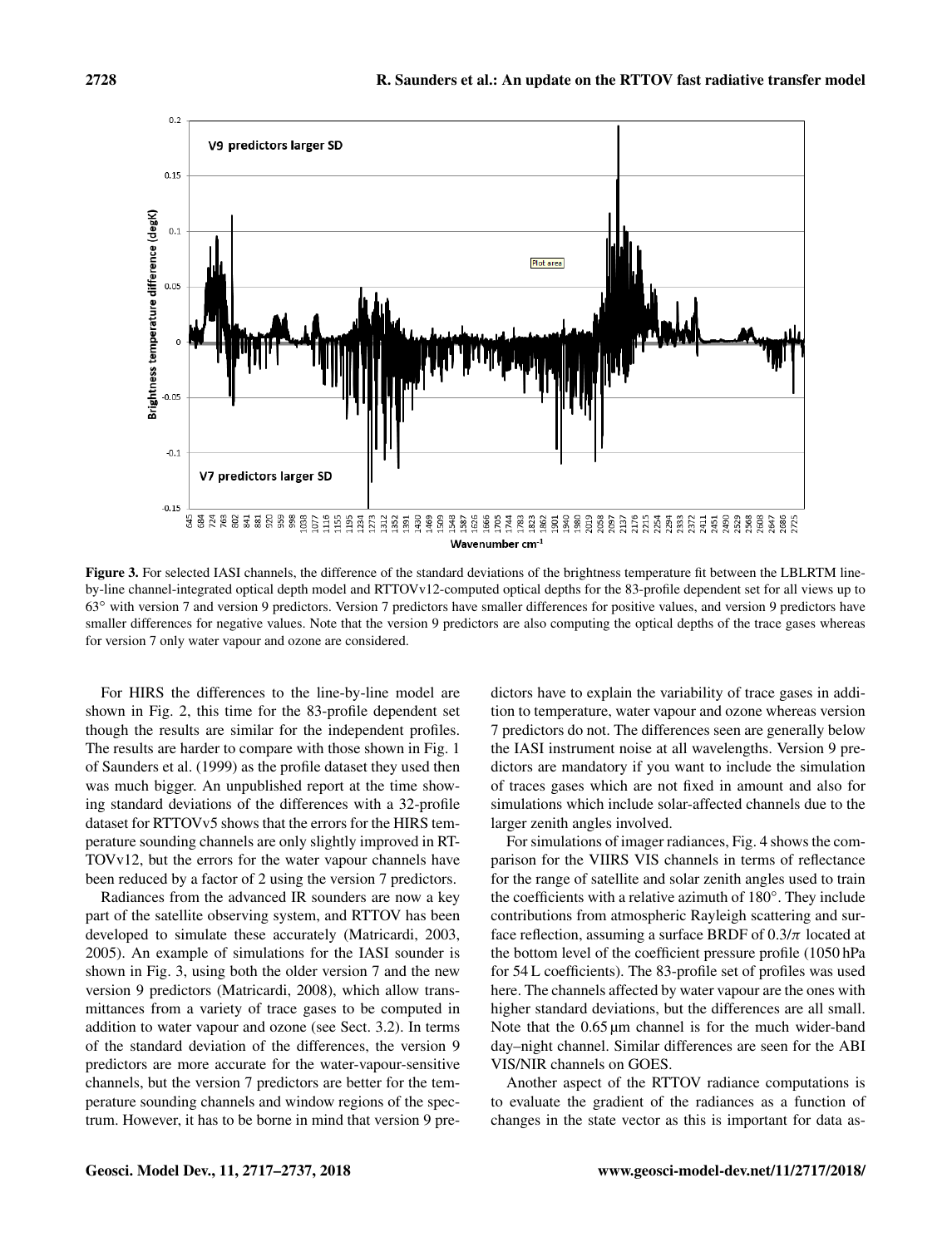

Figure 3. For selected IASI channels, the difference of the standard deviations of the brightness temperature fit between the LBLRTM lineby-line channel-integrated optical depth model and RTTOVv12-computed optical depths for the 83-profile dependent set for all views up to 63◦ with version 7 and version 9 predictors. Version 7 predictors have smaller differences for positive values, and version 9 predictors have smaller differences for negative values. Note that the version 9 predictors are also computing the optical depths of the trace gases whereas for version 7 only water vapour and ozone are considered.

For HIRS the differences to the line-by-line model are shown in Fig. 2, this time for the 83-profile dependent set though the results are similar for the independent profiles. The results are harder to compare with those shown in Fig. 1 of Saunders et al. (1999) as the profile dataset they used then was much bigger. An unpublished report at the time showing standard deviations of the differences with a 32-profile dataset for RTTOVv5 shows that the errors for the HIRS temperature sounding channels are only slightly improved in RT-TOVv12, but the errors for the water vapour channels have been reduced by a factor of 2 using the version 7 predictors.

Radiances from the advanced IR sounders are now a key part of the satellite observing system, and RTTOV has been developed to simulate these accurately (Matricardi, 2003, 2005). An example of simulations for the IASI sounder is shown in Fig. 3, using both the older version 7 and the new version 9 predictors (Matricardi, 2008), which allow transmittances from a variety of trace gases to be computed in addition to water vapour and ozone (see Sect. 3.2). In terms of the standard deviation of the differences, the version 9 predictors are more accurate for the water-vapour-sensitive channels, but the version 7 predictors are better for the temperature sounding channels and window regions of the spectrum. However, it has to be borne in mind that version 9 predictors have to explain the variability of trace gases in addition to temperature, water vapour and ozone whereas version 7 predictors do not. The differences seen are generally below the IASI instrument noise at all wavelengths. Version 9 predictors are mandatory if you want to include the simulation of traces gases which are not fixed in amount and also for simulations which include solar-affected channels due to the larger zenith angles involved.

For simulations of imager radiances, Fig. 4 shows the comparison for the VIIRS VIS channels in terms of reflectance for the range of satellite and solar zenith angles used to train the coefficients with a relative azimuth of 180◦ . They include contributions from atmospheric Rayleigh scattering and surface reflection, assuming a surface BRDF of  $0.3/\pi$  located at the bottom level of the coefficient pressure profile (1050 hPa for 54 L coefficients). The 83-profile set of profiles was used here. The channels affected by water vapour are the ones with higher standard deviations, but the differences are all small. Note that the  $0.65 \mu m$  channel is for the much wider-band day–night channel. Similar differences are seen for the ABI VIS/NIR channels on GOES.

Another aspect of the RTTOV radiance computations is to evaluate the gradient of the radiances as a function of changes in the state vector as this is important for data as-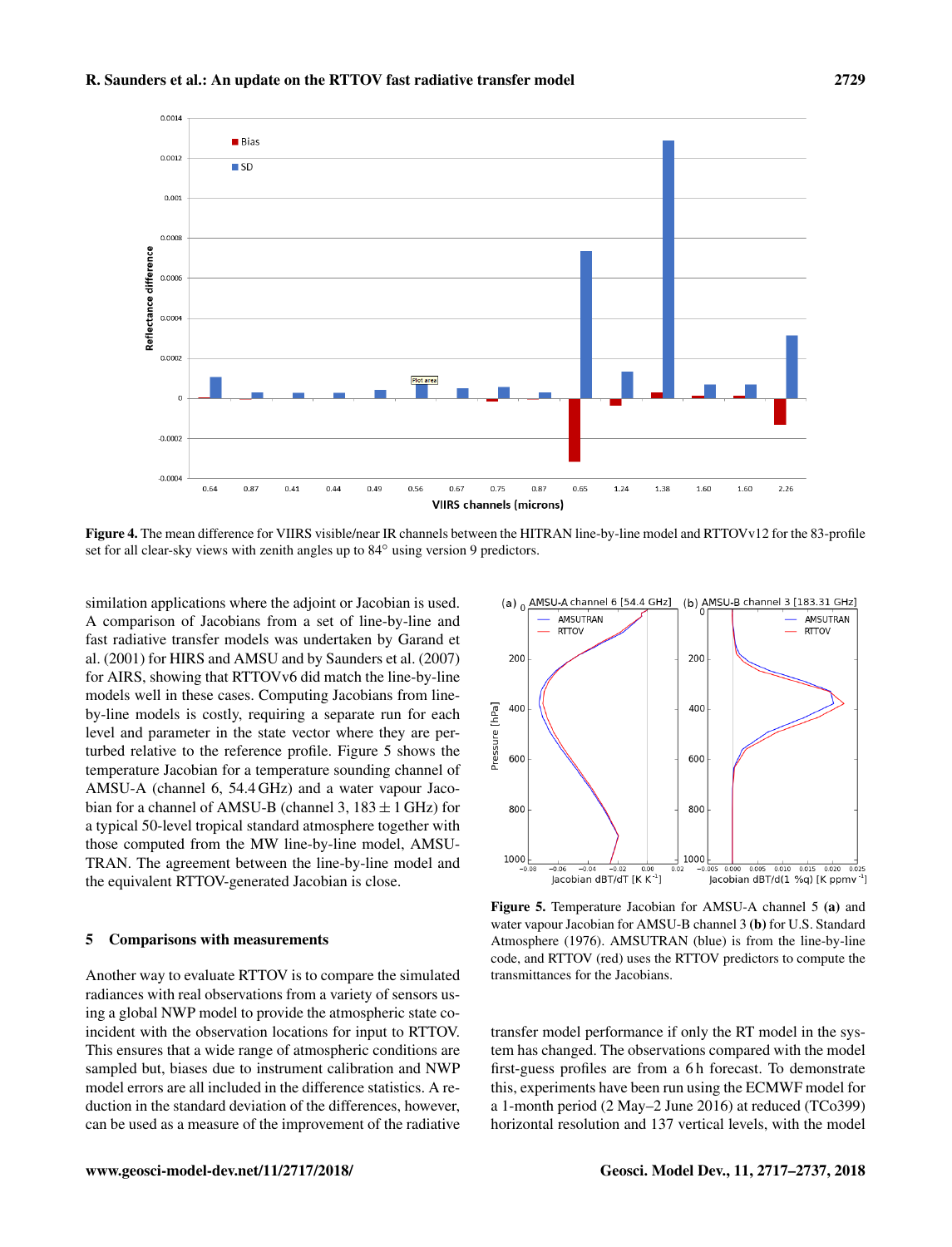

Figure 4. The mean difference for VIIRS visible/near IR channels between the HITRAN line-by-line model and RTTOVv12 for the 83-profile set for all clear-sky views with zenith angles up to 84° using version 9 predictors.

similation applications where the adjoint or Jacobian is used. A comparison of Jacobians from a set of line-by-line and fast radiative transfer models was undertaken by Garand et al. (2001) for HIRS and AMSU and by Saunders et al. (2007) for AIRS, showing that RTTOVv6 did match the line-by-line models well in these cases. Computing Jacobians from lineby-line models is costly, requiring a separate run for each level and parameter in the state vector where they are perturbed relative to the reference profile. Figure 5 shows the temperature Jacobian for a temperature sounding channel of AMSU-A (channel 6, 54.4 GHz) and a water vapour Jacobian for a channel of AMSU-B (channel 3,  $183 \pm 1$  GHz) for a typical 50-level tropical standard atmosphere together with those computed from the MW line-by-line model, AMSU-TRAN. The agreement between the line-by-line model and the equivalent RTTOV-generated Jacobian is close.

#### 5 Comparisons with measurements

Another way to evaluate RTTOV is to compare the simulated radiances with real observations from a variety of sensors using a global NWP model to provide the atmospheric state coincident with the observation locations for input to RTTOV. This ensures that a wide range of atmospheric conditions are sampled but, biases due to instrument calibration and NWP model errors are all included in the difference statistics. A reduction in the standard deviation of the differences, however, can be used as a measure of the improvement of the radiative



Figure 5. Temperature Jacobian for AMSU-A channel 5 (a) and water vapour Jacobian for AMSU-B channel 3 (b) for U.S. Standard Atmosphere (1976). AMSUTRAN (blue) is from the line-by-line code, and RTTOV (red) uses the RTTOV predictors to compute the transmittances for the Jacobians.

transfer model performance if only the RT model in the system has changed. The observations compared with the model first-guess profiles are from a 6 h forecast. To demonstrate this, experiments have been run using the ECMWF model for a 1-month period (2 May–2 June 2016) at reduced (TCo399) horizontal resolution and 137 vertical levels, with the model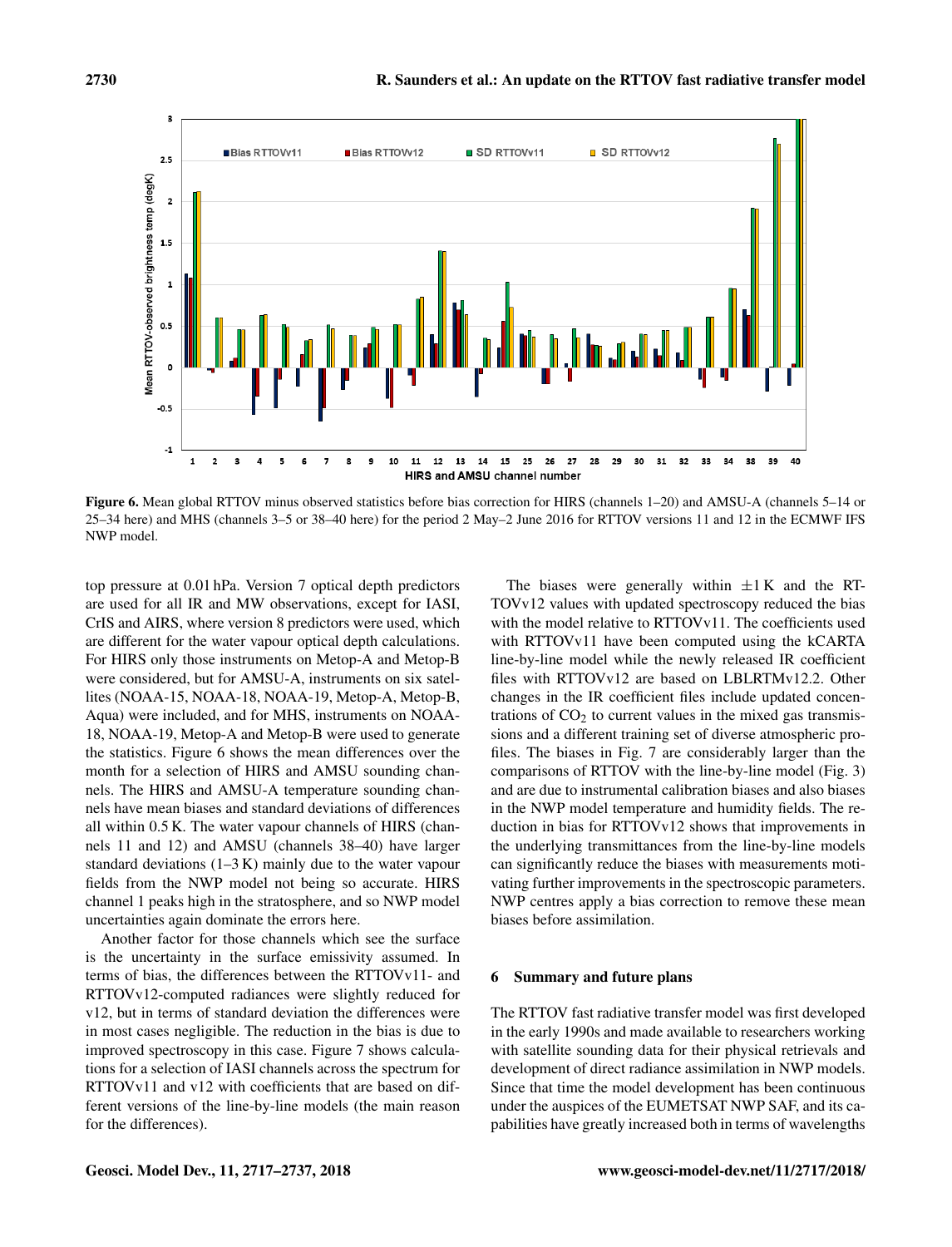

Figure 6. Mean global RTTOV minus observed statistics before bias correction for HIRS (channels 1–20) and AMSU-A (channels 5–14 or 25–34 here) and MHS (channels 3–5 or 38–40 here) for the period 2 May–2 June 2016 for RTTOV versions 11 and 12 in the ECMWF IFS NWP model.

top pressure at 0.01 hPa. Version 7 optical depth predictors are used for all IR and MW observations, except for IASI, CrIS and AIRS, where version 8 predictors were used, which are different for the water vapour optical depth calculations. For HIRS only those instruments on Metop-A and Metop-B were considered, but for AMSU-A, instruments on six satellites (NOAA-15, NOAA-18, NOAA-19, Metop-A, Metop-B, Aqua) were included, and for MHS, instruments on NOAA-18, NOAA-19, Metop-A and Metop-B were used to generate the statistics. Figure 6 shows the mean differences over the month for a selection of HIRS and AMSU sounding channels. The HIRS and AMSU-A temperature sounding channels have mean biases and standard deviations of differences all within 0.5 K. The water vapour channels of HIRS (channels 11 and 12) and AMSU (channels 38–40) have larger standard deviations  $(1-3 K)$  mainly due to the water vapour fields from the NWP model not being so accurate. HIRS channel 1 peaks high in the stratosphere, and so NWP model uncertainties again dominate the errors here.

Another factor for those channels which see the surface is the uncertainty in the surface emissivity assumed. In terms of bias, the differences between the RTTOVv11- and RTTOVv12-computed radiances were slightly reduced for v12, but in terms of standard deviation the differences were in most cases negligible. The reduction in the bias is due to improved spectroscopy in this case. Figure 7 shows calculations for a selection of IASI channels across the spectrum for RTTOVv11 and v12 with coefficients that are based on different versions of the line-by-line models (the main reason for the differences).

The biases were generally within  $\pm 1$  K and the RT-TOVv12 values with updated spectroscopy reduced the bias with the model relative to RTTOVv11. The coefficients used with RTTOVv11 have been computed using the kCARTA line-by-line model while the newly released IR coefficient files with RTTOVv12 are based on LBLRTMv12.2. Other changes in the IR coefficient files include updated concentrations of  $CO<sub>2</sub>$  to current values in the mixed gas transmissions and a different training set of diverse atmospheric profiles. The biases in Fig. 7 are considerably larger than the comparisons of RTTOV with the line-by-line model (Fig. 3) and are due to instrumental calibration biases and also biases in the NWP model temperature and humidity fields. The reduction in bias for RTTOVv12 shows that improvements in the underlying transmittances from the line-by-line models can significantly reduce the biases with measurements motivating further improvements in the spectroscopic parameters. NWP centres apply a bias correction to remove these mean biases before assimilation.

#### 6 Summary and future plans

The RTTOV fast radiative transfer model was first developed in the early 1990s and made available to researchers working with satellite sounding data for their physical retrievals and development of direct radiance assimilation in NWP models. Since that time the model development has been continuous under the auspices of the EUMETSAT NWP SAF, and its capabilities have greatly increased both in terms of wavelengths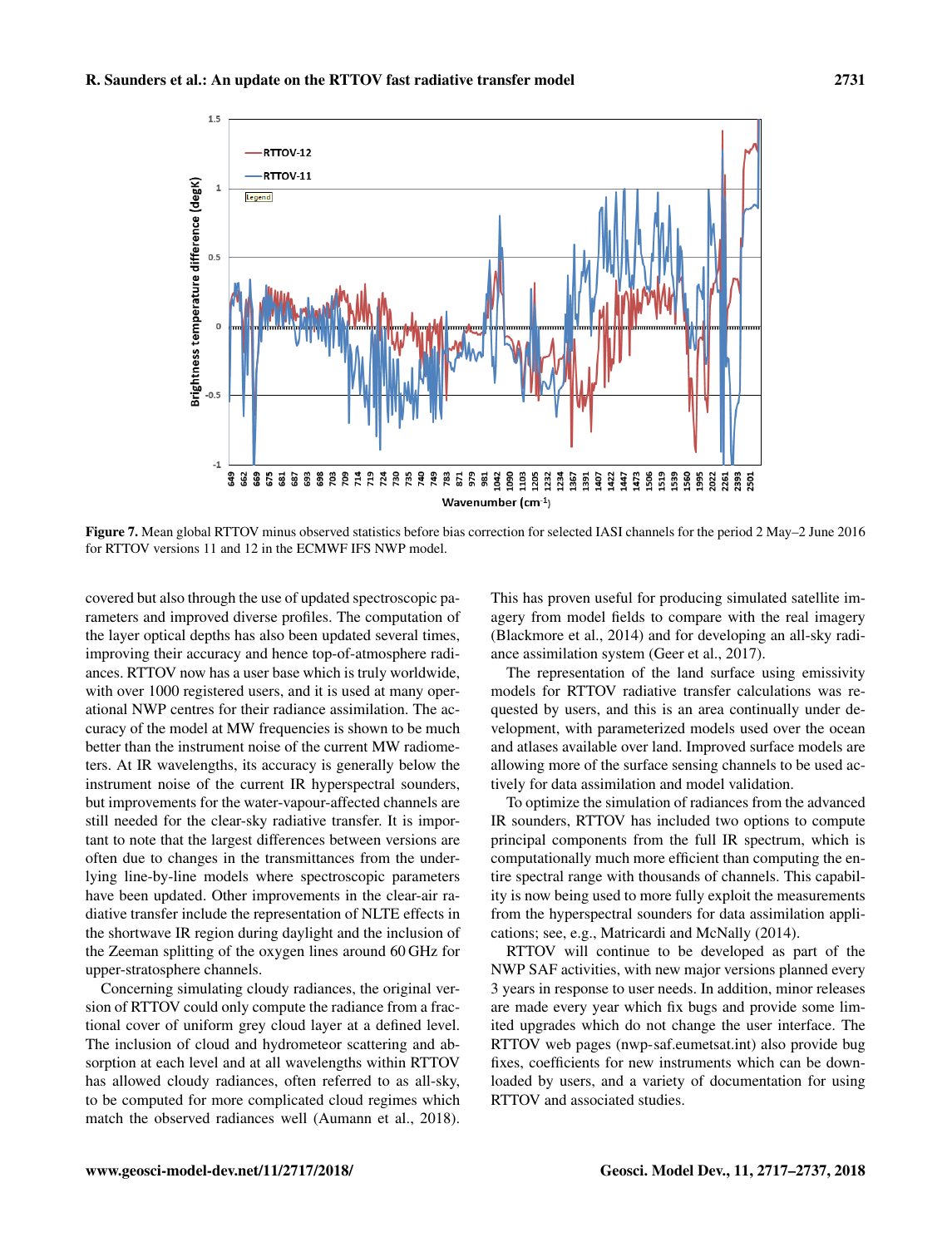

Figure 7. Mean global RTTOV minus observed statistics before bias correction for selected IASI channels for the period 2 May–2 June 2016 for RTTOV versions 11 and 12 in the ECMWF IFS NWP model.

covered but also through the use of updated spectroscopic parameters and improved diverse profiles. The computation of the layer optical depths has also been updated several times, improving their accuracy and hence top-of-atmosphere radiances. RTTOV now has a user base which is truly worldwide, with over 1000 registered users, and it is used at many operational NWP centres for their radiance assimilation. The accuracy of the model at MW frequencies is shown to be much better than the instrument noise of the current MW radiometers. At IR wavelengths, its accuracy is generally below the instrument noise of the current IR hyperspectral sounders, but improvements for the water-vapour-affected channels are still needed for the clear-sky radiative transfer. It is important to note that the largest differences between versions are often due to changes in the transmittances from the underlying line-by-line models where spectroscopic parameters have been updated. Other improvements in the clear-air radiative transfer include the representation of NLTE effects in the shortwave IR region during daylight and the inclusion of the Zeeman splitting of the oxygen lines around 60 GHz for upper-stratosphere channels.

Concerning simulating cloudy radiances, the original version of RTTOV could only compute the radiance from a fractional cover of uniform grey cloud layer at a defined level. The inclusion of cloud and hydrometeor scattering and absorption at each level and at all wavelengths within RTTOV has allowed cloudy radiances, often referred to as all-sky, to be computed for more complicated cloud regimes which match the observed radiances well (Aumann et al., 2018).

This has proven useful for producing simulated satellite imagery from model fields to compare with the real imagery (Blackmore et al., 2014) and for developing an all-sky radiance assimilation system (Geer et al., 2017).

The representation of the land surface using emissivity models for RTTOV radiative transfer calculations was requested by users, and this is an area continually under development, with parameterized models used over the ocean and atlases available over land. Improved surface models are allowing more of the surface sensing channels to be used actively for data assimilation and model validation.

To optimize the simulation of radiances from the advanced IR sounders, RTTOV has included two options to compute principal components from the full IR spectrum, which is computationally much more efficient than computing the entire spectral range with thousands of channels. This capability is now being used to more fully exploit the measurements from the hyperspectral sounders for data assimilation applications; see, e.g., Matricardi and McNally (2014).

RTTOV will continue to be developed as part of the NWP SAF activities, with new major versions planned every 3 years in response to user needs. In addition, minor releases are made every year which fix bugs and provide some limited upgrades which do not change the user interface. The RTTOV web pages [\(nwp-saf.eumetsat.int\)](nwp-saf.eumetsat.int) also provide bug fixes, coefficients for new instruments which can be downloaded by users, and a variety of documentation for using RTTOV and associated studies.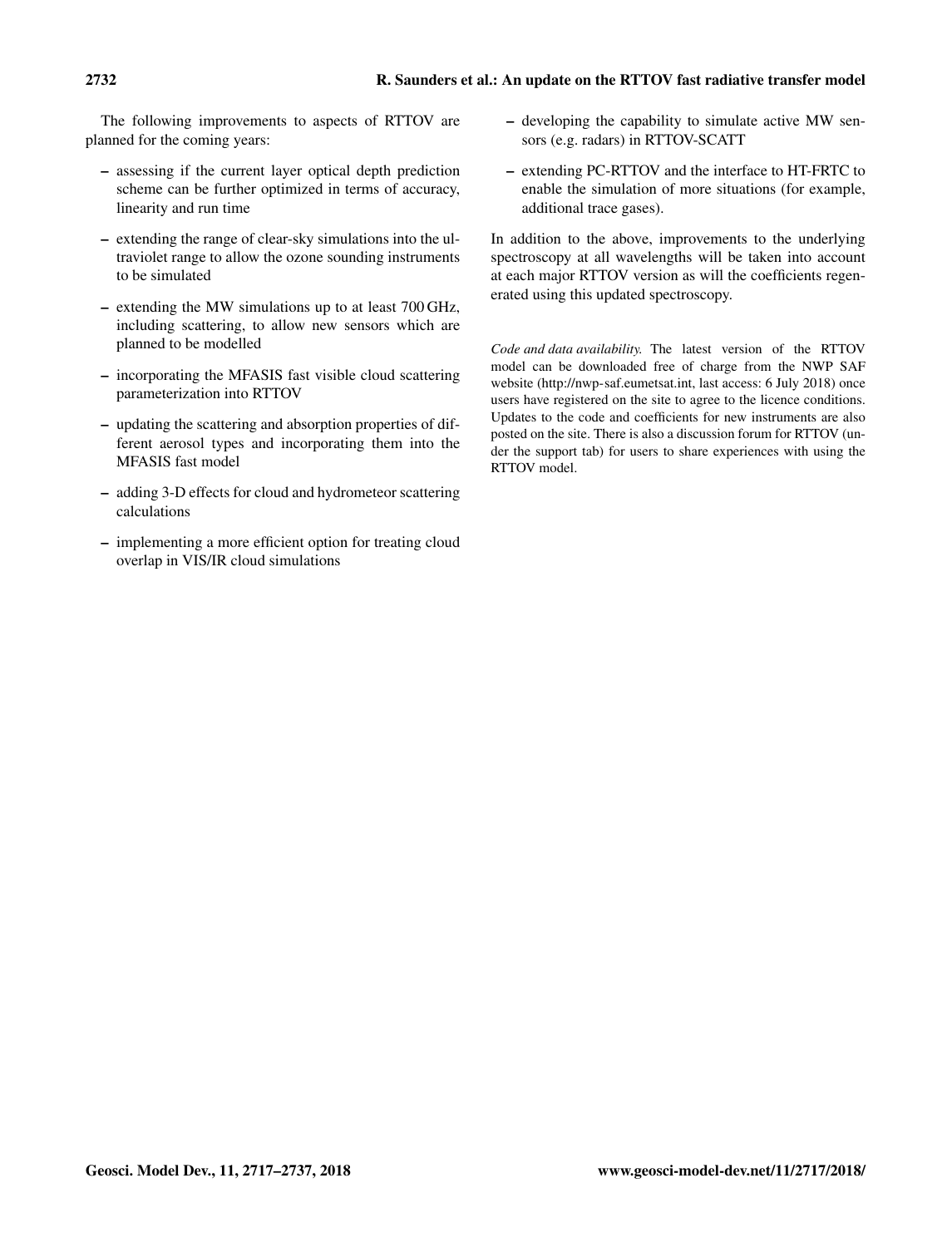The following improvements to aspects of RTTOV are planned for the coming years:

- assessing if the current layer optical depth prediction scheme can be further optimized in terms of accuracy, linearity and run time
- extending the range of clear-sky simulations into the ultraviolet range to allow the ozone sounding instruments to be simulated
- extending the MW simulations up to at least 700 GHz, including scattering, to allow new sensors which are planned to be modelled
- incorporating the MFASIS fast visible cloud scattering parameterization into RTTOV
- updating the scattering and absorption properties of different aerosol types and incorporating them into the MFASIS fast model
- adding 3-D effects for cloud and hydrometeor scattering calculations
- implementing a more efficient option for treating cloud overlap in VIS/IR cloud simulations
- developing the capability to simulate active MW sensors (e.g. radars) in RTTOV-SCATT
- extending PC-RTTOV and the interface to HT-FRTC to enable the simulation of more situations (for example, additional trace gases).

In addition to the above, improvements to the underlying spectroscopy at all wavelengths will be taken into account at each major RTTOV version as will the coefficients regenerated using this updated spectroscopy.

*Code and data availability.* The latest version of the RTTOV model can be downloaded free of charge from the NWP SAF website [\(http://nwp-saf.eumetsat.int,](http://nwp-saf.eumetsat.int) last access: 6 July 2018) once users have registered on the site to agree to the licence conditions. Updates to the code and coefficients for new instruments are also posted on the site. There is also a discussion forum for RTTOV (under the support tab) for users to share experiences with using the RTTOV model.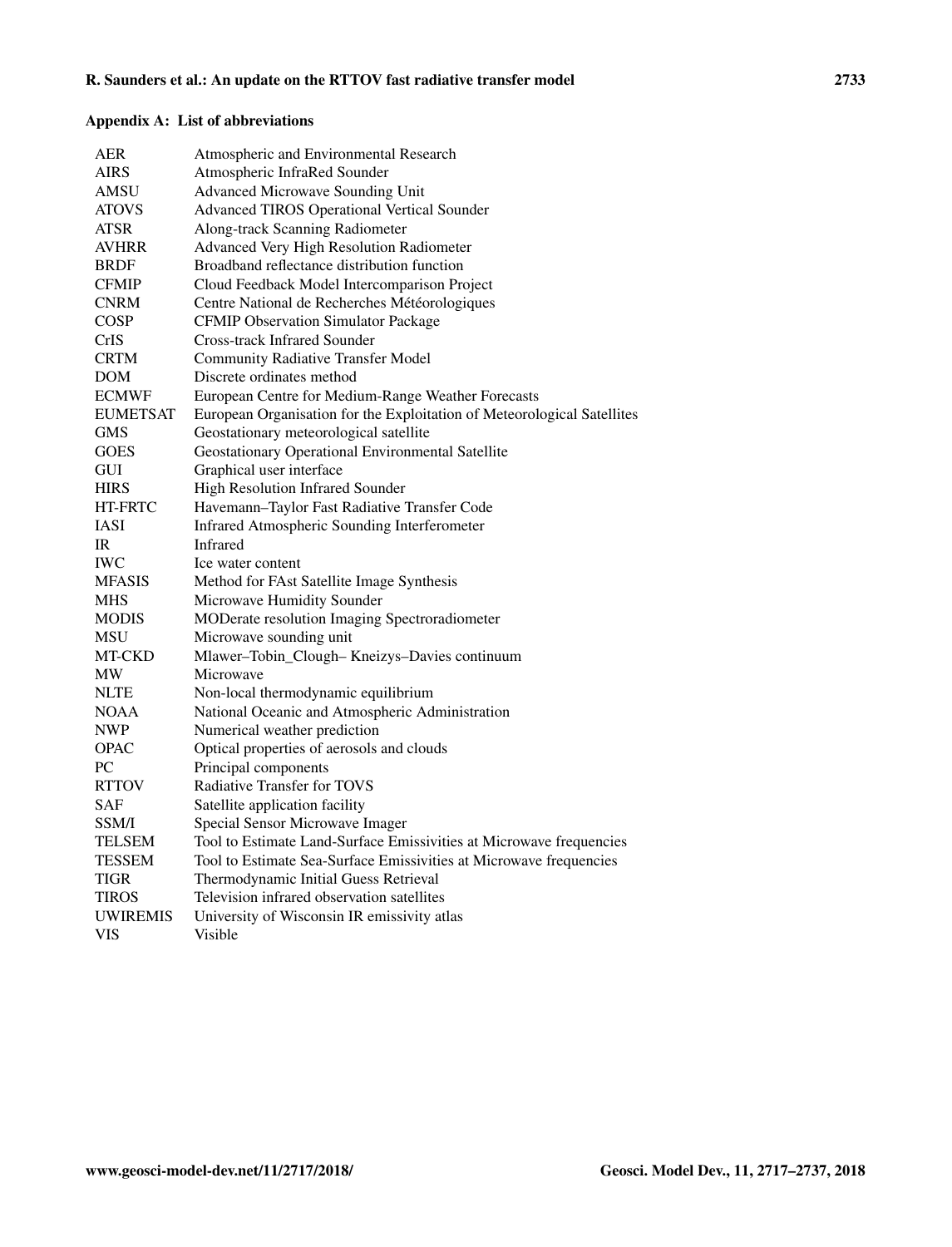# Appendix A: List of abbreviations

| AER             | Atmospheric and Environmental Research                                  |
|-----------------|-------------------------------------------------------------------------|
| AIRS            | Atmospheric InfraRed Sounder                                            |
| AMSU            | Advanced Microwave Sounding Unit                                        |
| <b>ATOVS</b>    | Advanced TIROS Operational Vertical Sounder                             |
| ATSR            | Along-track Scanning Radiometer                                         |
| <b>AVHRR</b>    | Advanced Very High Resolution Radiometer                                |
| <b>BRDF</b>     | Broadband reflectance distribution function                             |
| <b>CFMIP</b>    | Cloud Feedback Model Intercomparison Project                            |
| <b>CNRM</b>     | Centre National de Recherches Météorologiques                           |
| <b>COSP</b>     | <b>CFMIP Observation Simulator Package</b>                              |
| CrIS            | <b>Cross-track Infrared Sounder</b>                                     |
| <b>CRTM</b>     | <b>Community Radiative Transfer Model</b>                               |
| <b>DOM</b>      | Discrete ordinates method                                               |
| <b>ECMWF</b>    | European Centre for Medium-Range Weather Forecasts                      |
| <b>EUMETSAT</b> | European Organisation for the Exploitation of Meteorological Satellites |
| <b>GMS</b>      | Geostationary meteorological satellite                                  |
| <b>GOES</b>     | Geostationary Operational Environmental Satellite                       |
| <b>GUI</b>      | Graphical user interface                                                |
| <b>HIRS</b>     | High Resolution Infrared Sounder                                        |
| HT-FRTC         | Havemann-Taylor Fast Radiative Transfer Code                            |
| IASI            | Infrared Atmospheric Sounding Interferometer                            |
| IR              | Infrared                                                                |
| <b>IWC</b>      | Ice water content                                                       |
| <b>MFASIS</b>   | Method for FAst Satellite Image Synthesis                               |
| <b>MHS</b>      | Microwave Humidity Sounder                                              |
| <b>MODIS</b>    | MODerate resolution Imaging Spectroradiometer                           |
| MSU             | Microwave sounding unit                                                 |
| MT-CKD          | Mlawer-Tobin_Clough- Kneizys-Davies continuum                           |
| MW              | Microwave                                                               |
| <b>NLTE</b>     | Non-local thermodynamic equilibrium                                     |
| <b>NOAA</b>     | National Oceanic and Atmospheric Administration                         |
| <b>NWP</b>      | Numerical weather prediction                                            |
| <b>OPAC</b>     | Optical properties of aerosols and clouds                               |
| PC              | Principal components                                                    |
| <b>RTTOV</b>    | <b>Radiative Transfer for TOVS</b>                                      |
| SAF             | Satellite application facility                                          |
| <b>SSM/I</b>    | Special Sensor Microwave Imager                                         |
| TELSEM          | Tool to Estimate Land-Surface Emissivities at Microwave frequencies     |
| TESSEM          | Tool to Estimate Sea-Surface Emissivities at Microwave frequencies      |
| TIGR            | Thermodynamic Initial Guess Retrieval                                   |
| TIROS           | Television infrared observation satellites                              |
| <b>UWIREMIS</b> | University of Wisconsin IR emissivity atlas                             |
| <b>VIS</b>      | Visible                                                                 |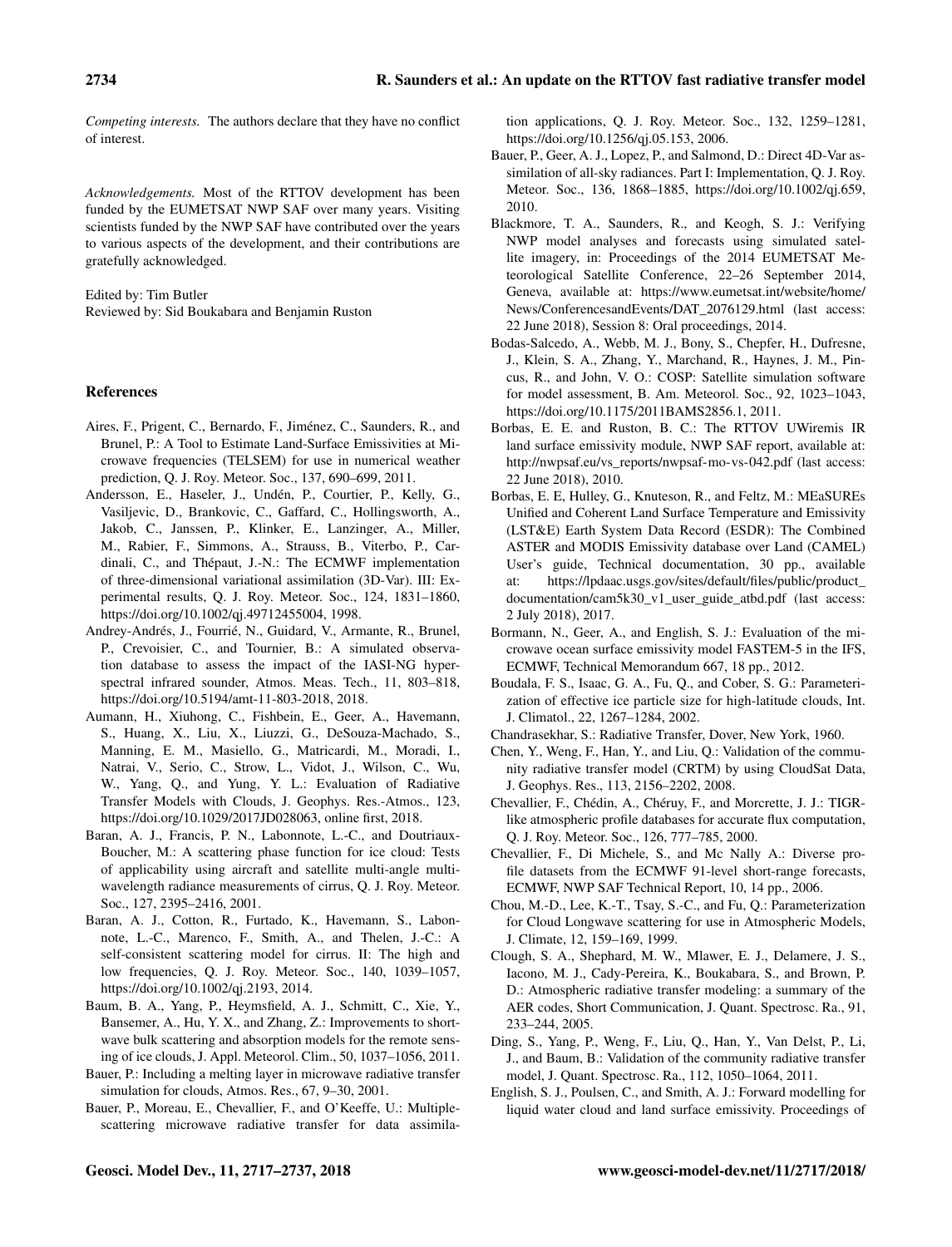*Competing interests.* The authors declare that they have no conflict of interest.

*Acknowledgements.* Most of the RTTOV development has been funded by the EUMETSAT NWP SAF over many years. Visiting scientists funded by the NWP SAF have contributed over the years to various aspects of the development, and their contributions are gratefully acknowledged.

Edited by: Tim Butler

Reviewed by: Sid Boukabara and Benjamin Ruston

#### References

- Aires, F., Prigent, C., Bernardo, F., Jiménez, C., Saunders, R., and Brunel, P.: A Tool to Estimate Land-Surface Emissivities at Microwave frequencies (TELSEM) for use in numerical weather prediction, Q. J. Roy. Meteor. Soc., 137, 690–699, 2011.
- Andersson, E., Haseler, J., Undén, P., Courtier, P., Kelly, G., Vasiljevic, D., Brankovic, C., Gaffard, C., Hollingsworth, A., Jakob, C., Janssen, P., Klinker, E., Lanzinger, A., Miller, M., Rabier, F., Simmons, A., Strauss, B., Viterbo, P., Cardinali, C., and Thépaut, J.-N.: The ECMWF implementation of three-dimensional variational assimilation (3D-Var). III: Experimental results, Q. J. Roy. Meteor. Soc., 124, 1831–1860, https://doi.org[/10.1002/qj.49712455004,](https://doi.org/10.1002/qj.49712455004) 1998.
- Andrey-Andrés, J., Fourrié, N., Guidard, V., Armante, R., Brunel, P., Crevoisier, C., and Tournier, B.: A simulated observation database to assess the impact of the IASI-NG hyperspectral infrared sounder, Atmos. Meas. Tech., 11, 803–818, https://doi.org[/10.5194/amt-11-803-2018,](https://doi.org/10.5194/amt-11-803-2018) 2018.
- Aumann, H., Xiuhong, C., Fishbein, E., Geer, A., Havemann, S., Huang, X., Liu, X., Liuzzi, G., DeSouza-Machado, S., Manning, E. M., Masiello, G., Matricardi, M., Moradi, I., Natrai, V., Serio, C., Strow, L., Vidot, J., Wilson, C., Wu, W., Yang, Q., and Yung, Y. L.: Evaluation of Radiative Transfer Models with Clouds, J. Geophys. Res.-Atmos., 123, https://doi.org[/10.1029/2017JD028063,](https://doi.org/10.1029/2017JD028063) online first, 2018.
- Baran, A. J., Francis, P. N., Labonnote, L.-C., and Doutriaux-Boucher, M.: A scattering phase function for ice cloud: Tests of applicability using aircraft and satellite multi-angle multiwavelength radiance measurements of cirrus, Q. J. Roy. Meteor. Soc., 127, 2395–2416, 2001.
- Baran, A. J., Cotton, R., Furtado, K., Havemann, S., Labonnote, L.-C., Marenco, F., Smith, A., and Thelen, J.-C.: A self-consistent scattering model for cirrus. II: The high and low frequencies, Q. J. Roy. Meteor. Soc., 140, 1039–1057, https://doi.org[/10.1002/qj.2193,](https://doi.org/10.1002/qj.2193) 2014.
- Baum, B. A., Yang, P., Heymsfield, A. J., Schmitt, C., Xie, Y., Bansemer, A., Hu, Y. X., and Zhang, Z.: Improvements to shortwave bulk scattering and absorption models for the remote sensing of ice clouds, J. Appl. Meteorol. Clim., 50, 1037–1056, 2011.
- Bauer, P.: Including a melting layer in microwave radiative transfer simulation for clouds, Atmos. Res., 67, 9–30, 2001.
- Bauer, P., Moreau, E., Chevallier, F., and O'Keeffe, U.: Multiplescattering microwave radiative transfer for data assimila-

tion applications, Q. J. Roy. Meteor. Soc., 132, 1259–1281, https://doi.org[/10.1256/qj.05.153,](https://doi.org/10.1256/qj.05.153) 2006.

- Bauer, P., Geer, A. J., Lopez, P., and Salmond, D.: Direct 4D-Var assimilation of all-sky radiances. Part I: Implementation, Q. J. Roy. Meteor. Soc., 136, 1868–1885, https://doi.org[/10.1002/qj.659,](https://doi.org/10.1002/qj.659) 2010.
- Blackmore, T. A., Saunders, R., and Keogh, S. J.: Verifying NWP model analyses and forecasts using simulated satellite imagery, in: Proceedings of the 2014 EUMETSAT Meteorological Satellite Conference, 22–26 September 2014, Geneva, available at: [https://www.eumetsat.int/website/home/](https://www.eumetsat.int/website/home/News/ConferencesandEvents/DAT_2076129.html) [News/ConferencesandEvents/DAT\\_2076129.html](https://www.eumetsat.int/website/home/News/ConferencesandEvents/DAT_2076129.html) (last access: 22 June 2018), Session 8: Oral proceedings, 2014.
- Bodas-Salcedo, A., Webb, M. J., Bony, S., Chepfer, H., Dufresne, J., Klein, S. A., Zhang, Y., Marchand, R., Haynes, J. M., Pincus, R., and John, V. O.: COSP: Satellite simulation software for model assessment, B. Am. Meteorol. Soc., 92, 1023–1043, https://doi.org[/10.1175/2011BAMS2856.1,](https://doi.org/10.1175/2011BAMS2856.1) 2011.
- Borbas, E. E. and Ruston, B. C.: The RTTOV UWiremis IR land surface emissivity module, NWP SAF report, available at: [http://nwpsaf.eu/vs\\_reports/nwpsaf-mo-vs-042.pdf](http://nwpsaf.eu/vs_reports/nwpsaf-mo-vs-042.pdf) (last access: 22 June 2018), 2010.
- Borbas, E. E, Hulley, G., Knuteson, R., and Feltz, M.: MEaSUREs Unified and Coherent Land Surface Temperature and Emissivity (LST&E) Earth System Data Record (ESDR): The Combined ASTER and MODIS Emissivity database over Land (CAMEL) User's guide, Technical documentation, 30 pp., available at: [https://lpdaac.usgs.gov/sites/default/files/public/product\\_](https://lpdaac.usgs.gov/sites/default/files/public/product_documentation/cam5k30_v1_user_guide_atbd.pdf) [documentation/cam5k30\\_v1\\_user\\_guide\\_atbd.pdf](https://lpdaac.usgs.gov/sites/default/files/public/product_documentation/cam5k30_v1_user_guide_atbd.pdf) (last access: 2 July 2018), 2017.
- Bormann, N., Geer, A., and English, S. J.: Evaluation of the microwave ocean surface emissivity model FASTEM-5 in the IFS, ECMWF, Technical Memorandum 667, 18 pp., 2012.
- Boudala, F. S., Isaac, G. A., Fu, Q., and Cober, S. G.: Parameterization of effective ice particle size for high-latitude clouds, Int. J. Climatol., 22, 1267–1284, 2002.
- Chandrasekhar, S.: Radiative Transfer, Dover, New York, 1960.
- Chen, Y., Weng, F., Han, Y., and Liu, Q.: Validation of the community radiative transfer model (CRTM) by using CloudSat Data, J. Geophys. Res., 113, 2156–2202, 2008.
- Chevallier, F., Chédin, A., Chéruy, F., and Morcrette, J. J.: TIGRlike atmospheric profile databases for accurate flux computation, Q. J. Roy. Meteor. Soc., 126, 777–785, 2000.
- Chevallier, F., Di Michele, S., and Mc Nally A.: Diverse profile datasets from the ECMWF 91-level short-range forecasts, ECMWF, NWP SAF Technical Report, 10, 14 pp., 2006.
- Chou, M.-D., Lee, K.-T., Tsay, S.-C., and Fu, Q.: Parameterization for Cloud Longwave scattering for use in Atmospheric Models, J. Climate, 12, 159–169, 1999.
- Clough, S. A., Shephard, M. W., Mlawer, E. J., Delamere, J. S., Iacono, M. J., Cady-Pereira, K., Boukabara, S., and Brown, P. D.: Atmospheric radiative transfer modeling: a summary of the AER codes, Short Communication, J. Quant. Spectrosc. Ra., 91, 233–244, 2005.
- Ding, S., Yang, P., Weng, F., Liu, Q., Han, Y., Van Delst, P., Li, J., and Baum, B.: Validation of the community radiative transfer model, J. Quant. Spectrosc. Ra., 112, 1050–1064, 2011.
- English, S. J., Poulsen, C., and Smith, A. J.: Forward modelling for liquid water cloud and land surface emissivity. Proceedings of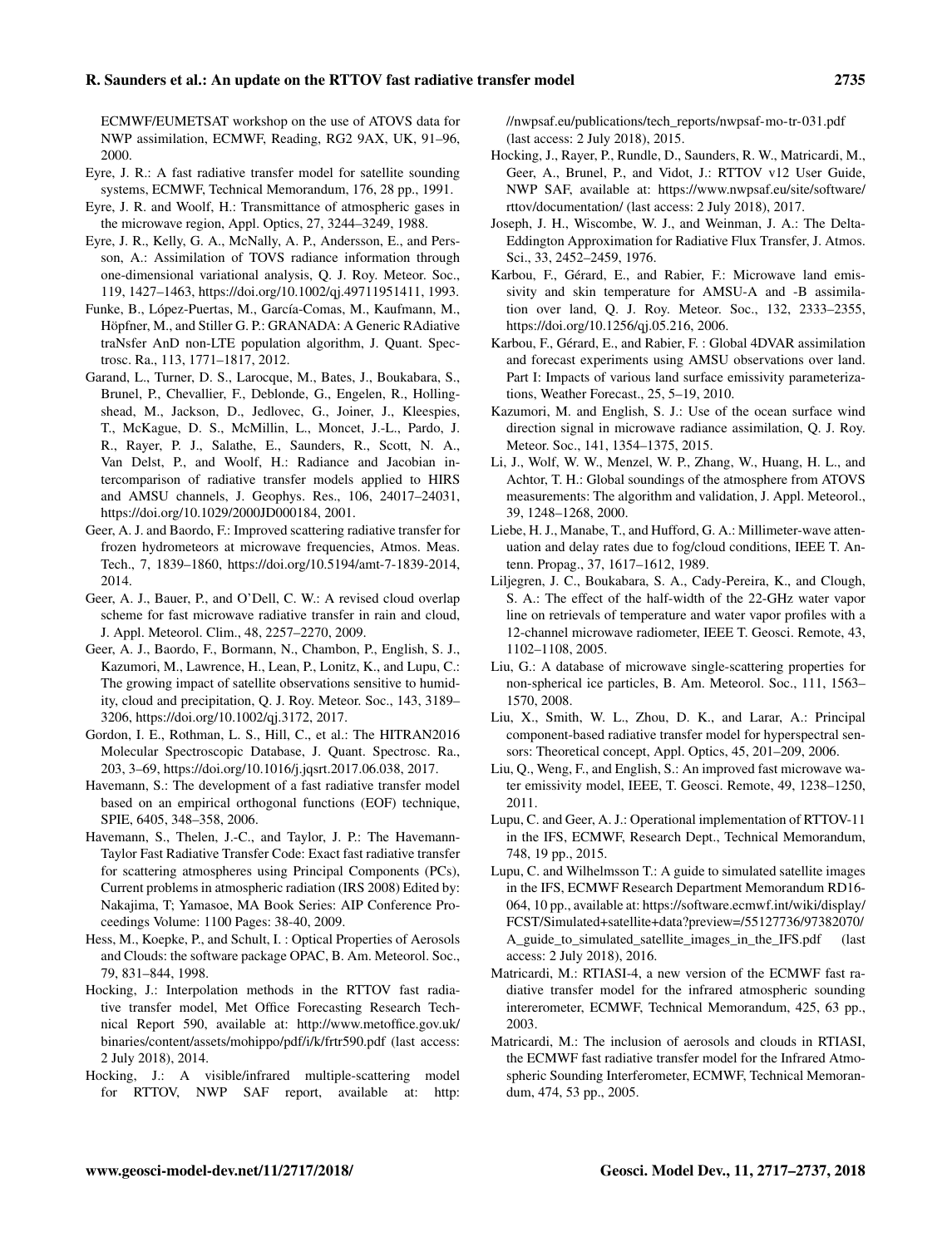ECMWF/EUMETSAT workshop on the use of ATOVS data for NWP assimilation, ECMWF, Reading, RG2 9AX, UK, 91–96, 2000.

- Eyre, J. R.: A fast radiative transfer model for satellite sounding systems, ECMWF, Technical Memorandum, 176, 28 pp., 1991.
- Eyre, J. R. and Woolf, H.: Transmittance of atmospheric gases in the microwave region, Appl. Optics, 27, 3244–3249, 1988.
- Eyre, J. R., Kelly, G. A., McNally, A. P., Andersson, E., and Persson, A.: Assimilation of TOVS radiance information through one-dimensional variational analysis, Q. J. Roy. Meteor. Soc., 119, 1427–1463, https://doi.org[/10.1002/qj.49711951411,](https://doi.org/10.1002/qj.49711951411) 1993.
- Funke, B., López-Puertas, M., García-Comas, M., Kaufmann, M., Höpfner, M., and Stiller G. P.: GRANADA: A Generic RAdiative traNsfer AnD non-LTE population algorithm, J. Quant. Spectrosc. Ra., 113, 1771–1817, 2012.
- Garand, L., Turner, D. S., Larocque, M., Bates, J., Boukabara, S., Brunel, P., Chevallier, F., Deblonde, G., Engelen, R., Hollingshead, M., Jackson, D., Jedlovec, G., Joiner, J., Kleespies, T., McKague, D. S., McMillin, L., Moncet, J.-L., Pardo, J. R., Rayer, P. J., Salathe, E., Saunders, R., Scott, N. A., Van Delst, P., and Woolf, H.: Radiance and Jacobian intercomparison of radiative transfer models applied to HIRS and AMSU channels, J. Geophys. Res., 106, 24017–24031, https://doi.org[/10.1029/2000JD000184,](https://doi.org/10.1029/2000JD000184) 2001.
- Geer, A. J. and Baordo, F.: Improved scattering radiative transfer for frozen hydrometeors at microwave frequencies, Atmos. Meas. Tech., 7, 1839–1860, https://doi.org[/10.5194/amt-7-1839-2014,](https://doi.org/10.5194/amt-7-1839-2014) 2014.
- Geer, A. J., Bauer, P., and O'Dell, C. W.: A revised cloud overlap scheme for fast microwave radiative transfer in rain and cloud, J. Appl. Meteorol. Clim., 48, 2257–2270, 2009.
- Geer, A. J., Baordo, F., Bormann, N., Chambon, P., English, S. J., Kazumori, M., Lawrence, H., Lean, P., Lonitz, K., and Lupu, C.: The growing impact of satellite observations sensitive to humidity, cloud and precipitation, Q. J. Roy. Meteor. Soc., 143, 3189– 3206, https://doi.org[/10.1002/qj.3172,](https://doi.org/10.1002/qj.3172) 2017.
- Gordon, I. E., Rothman, L. S., Hill, C., et al.: The HITRAN2016 Molecular Spectroscopic Database, J. Quant. Spectrosc. Ra., 203, 3–69, https://doi.org[/10.1016/j.jqsrt.2017.06.038,](https://doi.org/10.1016/j.jqsrt.2017.06.038) 2017.
- Havemann, S.: The development of a fast radiative transfer model based on an empirical orthogonal functions (EOF) technique, SPIE, 6405, 348–358, 2006.
- Havemann, S., Thelen, J.-C., and Taylor, J. P.: The Havemann-Taylor Fast Radiative Transfer Code: Exact fast radiative transfer for scattering atmospheres using Principal Components (PCs), Current problems in atmospheric radiation (IRS 2008) Edited by: Nakajima, T; Yamasoe, MA Book Series: AIP Conference Proceedings Volume: 1100 Pages: 38-40, 2009.
- Hess, M., Koepke, P., and Schult, I. : Optical Properties of Aerosols and Clouds: the software package OPAC, B. Am. Meteorol. Soc., 79, 831–844, 1998.
- Hocking, J.: Interpolation methods in the RTTOV fast radiative transfer model, Met Office Forecasting Research Technical Report 590, available at: [http://www.metoffice.gov.uk/](http://www.metoffice.gov.uk/binaries/content/assets/mohippo/pdf/i/k/frtr590.pdf) [binaries/content/assets/mohippo/pdf/i/k/frtr590.pdf](http://www.metoffice.gov.uk/binaries/content/assets/mohippo/pdf/i/k/frtr590.pdf) (last access: 2 July 2018), 2014.
- Hocking, J.: A visible/infrared multiple-scattering model for RTTOV, NWP SAF report, available at: [http:](http://nwpsaf.eu/publications/tech_reports/nwpsaf-mo-tr-031.pdf)

[//nwpsaf.eu/publications/tech\\_reports/nwpsaf-mo-tr-031.pdf](http://nwpsaf.eu/publications/tech_reports/nwpsaf-mo-tr-031.pdf) (last access: 2 July 2018), 2015.

- Hocking, J., Rayer, P., Rundle, D., Saunders, R. W., Matricardi, M., Geer, A., Brunel, P., and Vidot, J.: RTTOV v12 User Guide, NWP SAF, available at: [https://www.nwpsaf.eu/site/software/](https://www.nwpsaf.eu/site/software/rttov/documentation/) [rttov/documentation/](https://www.nwpsaf.eu/site/software/rttov/documentation/) (last access: 2 July 2018), 2017.
- Joseph, J. H., Wiscombe, W. J., and Weinman, J. A.: The Delta-Eddington Approximation for Radiative Flux Transfer, J. Atmos. Sci., 33, 2452–2459, 1976.
- Karbou, F., Gérard, E., and Rabier, F.: Microwave land emissivity and skin temperature for AMSU-A and -B assimilation over land, Q. J. Roy. Meteor. Soc., 132, 2333–2355, https://doi.org[/10.1256/qj.05.216,](https://doi.org/10.1256/qj.05.216) 2006.
- Karbou, F., Gérard, E., and Rabier, F. : Global 4DVAR assimilation and forecast experiments using AMSU observations over land. Part I: Impacts of various land surface emissivity parameterizations, Weather Forecast., 25, 5–19, 2010.
- Kazumori, M. and English, S. J.: Use of the ocean surface wind direction signal in microwave radiance assimilation, Q. J. Roy. Meteor. Soc., 141, 1354–1375, 2015.
- Li, J., Wolf, W. W., Menzel, W. P., Zhang, W., Huang, H. L., and Achtor, T. H.: Global soundings of the atmosphere from ATOVS measurements: The algorithm and validation, J. Appl. Meteorol., 39, 1248–1268, 2000.
- Liebe, H. J., Manabe, T., and Hufford, G. A.: Millimeter-wave attenuation and delay rates due to fog/cloud conditions, IEEE T. Antenn. Propag., 37, 1617–1612, 1989.
- Liljegren, J. C., Boukabara, S. A., Cady-Pereira, K., and Clough, S. A.: The effect of the half-width of the 22-GHz water vapor line on retrievals of temperature and water vapor profiles with a 12-channel microwave radiometer, IEEE T. Geosci. Remote, 43, 1102–1108, 2005.
- Liu, G.: A database of microwave single-scattering properties for non-spherical ice particles, B. Am. Meteorol. Soc., 111, 1563– 1570, 2008.
- Liu, X., Smith, W. L., Zhou, D. K., and Larar, A.: Principal component-based radiative transfer model for hyperspectral sensors: Theoretical concept, Appl. Optics, 45, 201–209, 2006.
- Liu, Q., Weng, F., and English, S.: An improved fast microwave water emissivity model, IEEE, T. Geosci. Remote, 49, 1238–1250, 2011.
- Lupu, C. and Geer, A. J.: Operational implementation of RTTOV-11 in the IFS, ECMWF, Research Dept., Technical Memorandum, 748, 19 pp., 2015.
- Lupu, C. and Wilhelmsson T.: A guide to simulated satellite images in the IFS, ECMWF Research Department Memorandum RD16- 064, 10 pp., available at: [https://software.ecmwf.int/wiki/display/](https://software.ecmwf.int/wiki/display/FCST/Simulated+satellite+data?preview=/55127736/97382070/A_guide_to_simulated_satellite_images_in_the_IFS.pdf) [FCST/Simulated+satellite+data?preview=/55127736/97382070/](https://software.ecmwf.int/wiki/display/FCST/Simulated+satellite+data?preview=/55127736/97382070/A_guide_to_simulated_satellite_images_in_the_IFS.pdf) [A\\_guide\\_to\\_simulated\\_satellite\\_images\\_in\\_the\\_IFS.pdf](https://software.ecmwf.int/wiki/display/FCST/Simulated+satellite+data?preview=/55127736/97382070/A_guide_to_simulated_satellite_images_in_the_IFS.pdf) (last access: 2 July 2018), 2016.
- Matricardi, M.: RTIASI-4, a new version of the ECMWF fast radiative transfer model for the infrared atmospheric sounding intererometer, ECMWF, Technical Memorandum, 425, 63 pp., 2003.
- Matricardi, M.: The inclusion of aerosols and clouds in RTIASI, the ECMWF fast radiative transfer model for the Infrared Atmospheric Sounding Interferometer, ECMWF, Technical Memorandum, 474, 53 pp., 2005.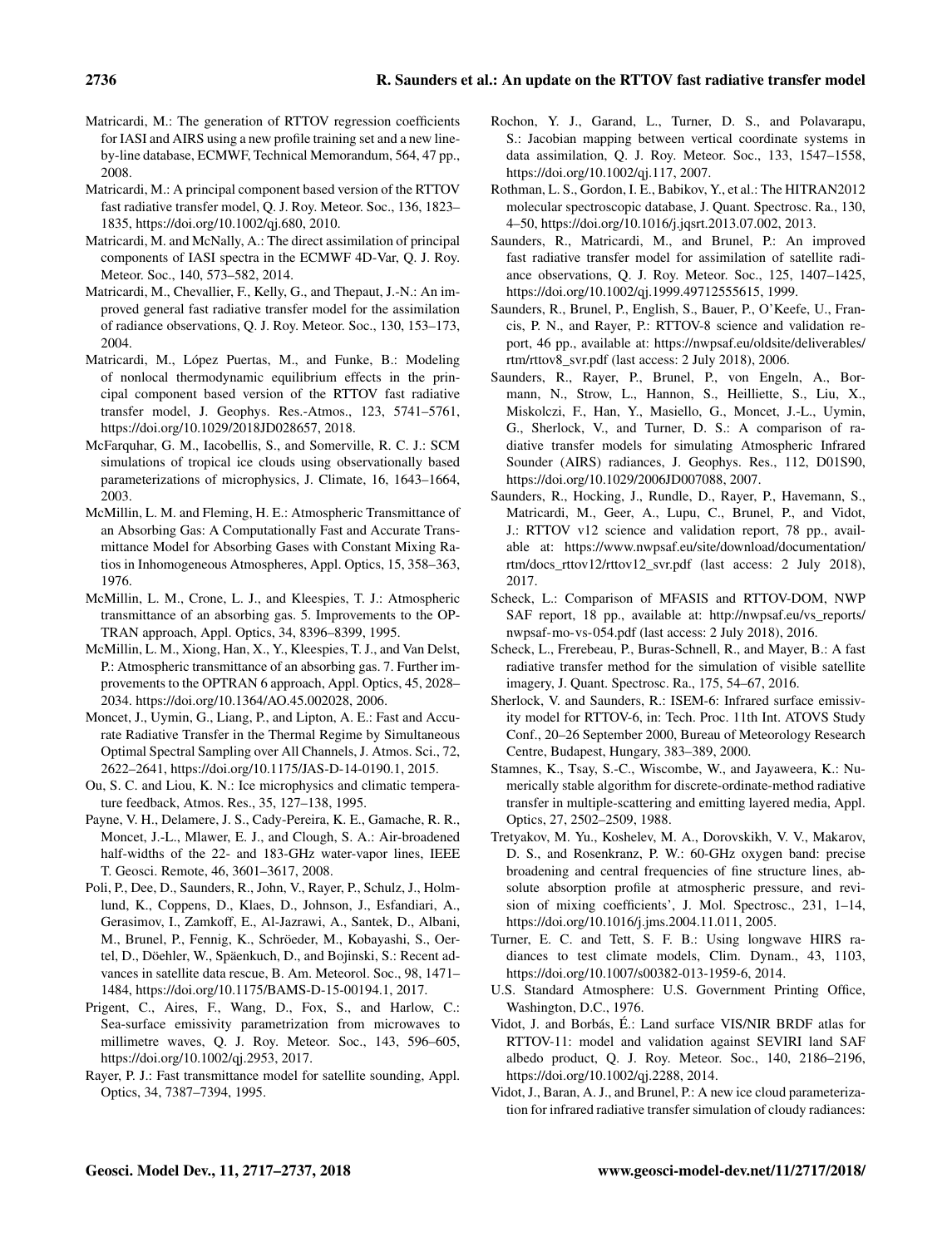- Matricardi, M.: The generation of RTTOV regression coefficients for IASI and AIRS using a new profile training set and a new lineby-line database, ECMWF, Technical Memorandum, 564, 47 pp., 2008.
- Matricardi, M.: A principal component based version of the RTTOV fast radiative transfer model, Q. J. Roy. Meteor. Soc., 136, 1823– 1835, https://doi.org[/10.1002/qj.680,](https://doi.org/10.1002/qj.680) 2010.
- Matricardi, M. and McNally, A.: The direct assimilation of principal components of IASI spectra in the ECMWF 4D-Var, Q. J. Roy. Meteor. Soc., 140, 573–582, 2014.
- Matricardi, M., Chevallier, F., Kelly, G., and Thepaut, J.-N.: An improved general fast radiative transfer model for the assimilation of radiance observations, Q. J. Roy. Meteor. Soc., 130, 153–173, 2004.
- Matricardi, M., López Puertas, M., and Funke, B.: Modeling of nonlocal thermodynamic equilibrium effects in the principal component based version of the RTTOV fast radiative transfer model, J. Geophys. Res.-Atmos., 123, 5741–5761, https://doi.org[/10.1029/2018JD028657,](https://doi.org/10.1029/2018JD028657) 2018.
- McFarquhar, G. M., Iacobellis, S., and Somerville, R. C. J.: SCM simulations of tropical ice clouds using observationally based parameterizations of microphysics, J. Climate, 16, 1643–1664, 2003.
- McMillin, L. M. and Fleming, H. E.: Atmospheric Transmittance of an Absorbing Gas: A Computationally Fast and Accurate Transmittance Model for Absorbing Gases with Constant Mixing Ratios in Inhomogeneous Atmospheres, Appl. Optics, 15, 358–363, 1976.
- McMillin, L. M., Crone, L. J., and Kleespies, T. J.: Atmospheric transmittance of an absorbing gas. 5. Improvements to the OP-TRAN approach, Appl. Optics, 34, 8396–8399, 1995.
- McMillin, L. M., Xiong, Han, X., Y., Kleespies, T. J., and Van Delst, P.: Atmospheric transmittance of an absorbing gas. 7. Further improvements to the OPTRAN 6 approach, Appl. Optics, 45, 2028– 2034. https://doi.org[/10.1364/AO.45.002028,](https://doi.org/10.1364/AO.45.002028) 2006.
- Moncet, J., Uymin, G., Liang, P., and Lipton, A. E.: Fast and Accurate Radiative Transfer in the Thermal Regime by Simultaneous Optimal Spectral Sampling over All Channels, J. Atmos. Sci., 72, 2622–2641, https://doi.org[/10.1175/JAS-D-14-0190.1,](https://doi.org/10.1175/JAS-D-14-0190.1) 2015.
- Ou, S. C. and Liou, K. N.: Ice microphysics and climatic temperature feedback, Atmos. Res., 35, 127–138, 1995.
- Payne, V. H., Delamere, J. S., Cady-Pereira, K. E., Gamache, R. R., Moncet, J.-L., Mlawer, E. J., and Clough, S. A.: Air-broadened half-widths of the 22- and 183-GHz water-vapor lines, IEEE T. Geosci. Remote, 46, 3601–3617, 2008.
- Poli, P., Dee, D., Saunders, R., John, V., Rayer, P., Schulz, J., Holmlund, K., Coppens, D., Klaes, D., Johnson, J., Esfandiari, A., Gerasimov, I., Zamkoff, E., Al-Jazrawi, A., Santek, D., Albani, M., Brunel, P., Fennig, K., Schröeder, M., Kobayashi, S., Oertel, D., Döehler, W., Späenkuch, D., and Bojinski, S.: Recent advances in satellite data rescue, B. Am. Meteorol. Soc., 98, 1471– 1484, https://doi.org[/10.1175/BAMS-D-15-00194.1,](https://doi.org/10.1175/BAMS-D-15-00194.1) 2017.
- Prigent, C., Aires, F., Wang, D., Fox, S., and Harlow, C.: Sea-surface emissivity parametrization from microwaves to millimetre waves, Q. J. Roy. Meteor. Soc., 143, 596–605, https://doi.org[/10.1002/qj.2953,](https://doi.org/10.1002/qj.2953) 2017.
- Rayer, P. J.: Fast transmittance model for satellite sounding, Appl. Optics, 34, 7387–7394, 1995.
- Rochon, Y. J., Garand, L., Turner, D. S., and Polavarapu, S.: Jacobian mapping between vertical coordinate systems in data assimilation, Q. J. Roy. Meteor. Soc., 133, 1547–1558, https://doi.org[/10.1002/qj.117,](https://doi.org/10.1002/qj.117) 2007.
- Rothman, L. S., Gordon, I. E., Babikov, Y., et al.: The HITRAN2012 molecular spectroscopic database, J. Quant. Spectrosc. Ra., 130, 4–50, https://doi.org[/10.1016/j.jqsrt.2013.07.002,](https://doi.org/10.1016/j.jqsrt.2013.07.002) 2013.
- Saunders, R., Matricardi, M., and Brunel, P.: An improved fast radiative transfer model for assimilation of satellite radiance observations, Q. J. Roy. Meteor. Soc., 125, 1407–1425, https://doi.org[/10.1002/qj.1999.49712555615,](https://doi.org/10.1002/qj.1999.49712555615) 1999.
- Saunders, R., Brunel, P., English, S., Bauer, P., O'Keefe, U., Francis, P. N., and Rayer, P.: RTTOV-8 science and validation report, 46 pp., available at: [https://nwpsaf.eu/oldsite/deliverables/](https://nwpsaf.eu/oldsite/deliverables/rtm/rttov8_svr.pdf) [rtm/rttov8\\_svr.pdf](https://nwpsaf.eu/oldsite/deliverables/rtm/rttov8_svr.pdf) (last access: 2 July 2018), 2006.
- Saunders, R., Rayer, P., Brunel, P., von Engeln, A., Bormann, N., Strow, L., Hannon, S., Heilliette, S., Liu, X., Miskolczi, F., Han, Y., Masiello, G., Moncet, J.-L., Uymin, G., Sherlock, V., and Turner, D. S.: A comparison of radiative transfer models for simulating Atmospheric Infrared Sounder (AIRS) radiances, J. Geophys. Res., 112, D01S90, https://doi.org[/10.1029/2006JD007088,](https://doi.org/10.1029/2006JD007088) 2007.
- Saunders, R., Hocking, J., Rundle, D., Rayer, P., Havemann, S., Matricardi, M., Geer, A., Lupu, C., Brunel, P., and Vidot, J.: RTTOV v12 science and validation report, 78 pp., available at: [https://www.nwpsaf.eu/site/download/documentation/](https://www.nwpsaf.eu/site/download/documentation/rtm/docs_rttov12/rttov12_svr.pdf) [rtm/docs\\_rttov12/rttov12\\_svr.pdf](https://www.nwpsaf.eu/site/download/documentation/rtm/docs_rttov12/rttov12_svr.pdf) (last access: 2 July 2018), 2017.
- Scheck, L.: Comparison of MFASIS and RTTOV-DOM, NWP SAF report, 18 pp., available at: [http://nwpsaf.eu/vs\\_reports/](http://nwpsaf.eu/vs_reports/nwpsaf-mo-vs-054.pdf) [nwpsaf-mo-vs-054.pdf](http://nwpsaf.eu/vs_reports/nwpsaf-mo-vs-054.pdf) (last access: 2 July 2018), 2016.
- Scheck, L., Frerebeau, P., Buras-Schnell, R., and Mayer, B.: A fast radiative transfer method for the simulation of visible satellite imagery, J. Quant. Spectrosc. Ra., 175, 54–67, 2016.
- Sherlock, V. and Saunders, R.: ISEM-6: Infrared surface emissivity model for RTTOV-6, in: Tech. Proc. 11th Int. ATOVS Study Conf., 20–26 September 2000, Bureau of Meteorology Research Centre, Budapest, Hungary, 383–389, 2000.
- Stamnes, K., Tsay, S.-C., Wiscombe, W., and Jayaweera, K.: Numerically stable algorithm for discrete-ordinate-method radiative transfer in multiple-scattering and emitting layered media, Appl. Optics, 27, 2502–2509, 1988.
- Tretyakov, M. Yu., Koshelev, M. A., Dorovskikh, V. V., Makarov, D. S., and Rosenkranz, P. W.: 60-GHz oxygen band: precise broadening and central frequencies of fine structure lines, absolute absorption profile at atmospheric pressure, and revision of mixing coefficients', J. Mol. Spectrosc., 231, 1–14, https://doi.org[/10.1016/j.jms.2004.11.011,](https://doi.org/10.1016/j.jms.2004.11.011) 2005.
- Turner, E. C. and Tett, S. F. B.: Using longwave HIRS radiances to test climate models, Clim. Dynam., 43, 1103, https://doi.org[/10.1007/s00382-013-1959-6,](https://doi.org/10.1007/s00382-013-1959-6) 2014.
- U.S. Standard Atmosphere: U.S. Government Printing Office, Washington, D.C., 1976.
- Vidot, J. and Borbás, É.: Land surface VIS/NIR BRDF atlas for RTTOV-11: model and validation against SEVIRI land SAF albedo product, Q. J. Roy. Meteor. Soc., 140, 2186–2196, https://doi.org[/10.1002/qj.2288,](https://doi.org/10.1002/qj.2288) 2014.
- Vidot, J., Baran, A. J., and Brunel, P.: A new ice cloud parameterization for infrared radiative transfer simulation of cloudy radiances: